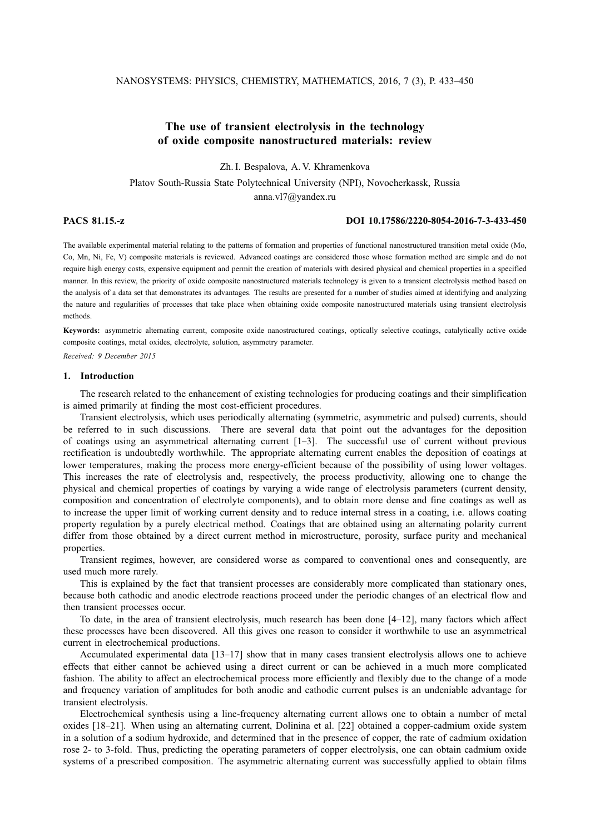# **The use of transient electrolysis in the technology of oxide composite nanostructured materials: review**

Zh. I. Bespalova, A. V. Khramenkova

Platov South-Russia State Polytechnical University (NPI), Novocherkassk, Russia anna.vl7@yandex.ru

## **PACS 81.15.-z DOI 10.17586/2220-8054-2016-7-3-433-450**

The available experimental material relating to the patterns of formation and properties of functional nanostructured transition metal oxide (Mo, Co, Mn, Ni, Fe, V) composite materials is reviewed. Advanced coatings are considered those whose formation method are simple and do not require high energy costs, expensive equipment and permit the creation of materials with desired physical and chemical properties in a specified manner. In this review, the priority of oxide composite nanostructured materials technology is given to a transient electrolysis method based on the analysis of a data set that demonstrates its advantages. The results are presented for a number of studies aimed at identifying and analyzing the nature and regularities of processes that take place when obtaining oxide composite nanostructured materials using transient electrolysis methods.

**Keywords:** asymmetric alternating current, composite oxide nanostructured coatings, optically selective coatings, catalytically active oxide composite coatings, metal oxides, electrolyte, solution, asymmetry parameter.

*Received: 9 December 2015*

## **1. Introduction**

The research related to the enhancement of existing technologies for producing coatings and their simplification is aimed primarily at finding the most cost-efficient procedures.

Transient electrolysis, which uses periodically alternating (symmetric, asymmetric and pulsed) currents, should be referred to in such discussions. There are several data that point out the advantages for the deposition of coatings using an asymmetrical alternating current [1–3]. The successful use of current without previous rectification is undoubtedly worthwhile. The appropriate alternating current enables the deposition of coatings at lower temperatures, making the process more energy-efficient because of the possibility of using lower voltages. This increases the rate of electrolysis and, respectively, the process productivity, allowing one to change the physical and chemical properties of coatings by varying a wide range of electrolysis parameters (current density, composition and concentration of electrolyte components), and to obtain more dense and fine coatings as well as to increase the upper limit of working current density and to reduce internal stress in a coating, i.e. allows coating property regulation by a purely electrical method. Coatings that are obtained using an alternating polarity current differ from those obtained by a direct current method in microstructure, porosity, surface purity and mechanical properties.

Transient regimes, however, are considered worse as compared to conventional ones and consequently, are used much more rarely.

This is explained by the fact that transient processes are considerably more complicated than stationary ones, because both cathodic and anodic electrode reactions proceed under the periodic changes of an electrical flow and then transient processes occur.

To date, in the area of transient electrolysis, much research has been done [4–12], many factors which affect these processes have been discovered. All this gives one reason to consider it worthwhile to use an asymmetrical current in electrochemical productions.

Accumulated experimental data [13–17] show that in many cases transient electrolysis allows one to achieve effects that either cannot be achieved using a direct current or can be achieved in a much more complicated fashion. The ability to affect an electrochemical process more efficiently and flexibly due to the change of a mode and frequency variation of amplitudes for both anodic and cathodic current pulses is an undeniable advantage for transient electrolysis.

Electrochemical synthesis using a line-frequency alternating current allows one to obtain a number of metal oxides [18–21]. When using an alternating current, Dolinina et al. [22] obtained a copper-cadmium oxide system in a solution of a sodium hydroxide, and determined that in the presence of copper, the rate of cadmium oxidation rose 2- to 3-fold. Thus, predicting the operating parameters of copper electrolysis, one can obtain cadmium oxide systems of a prescribed composition. The asymmetric alternating current was successfully applied to obtain films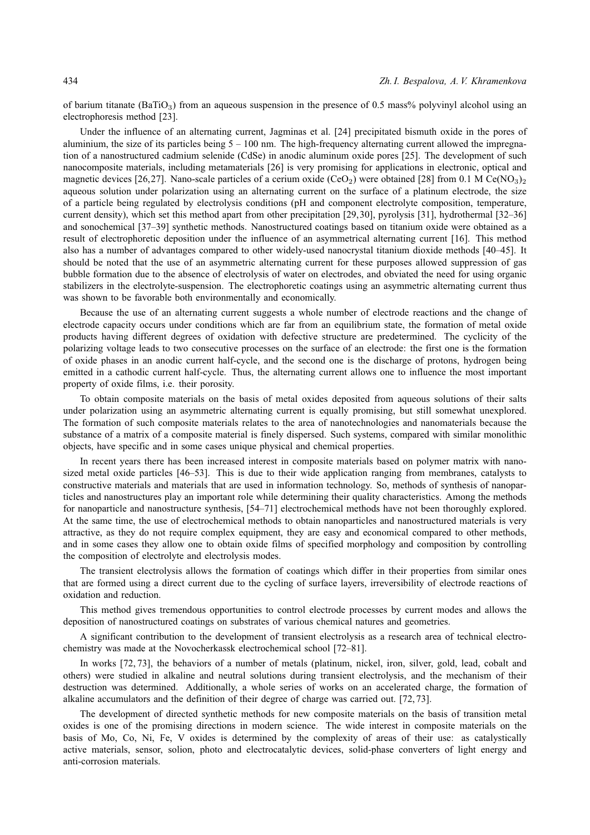of barium titanate  $(BaTiO<sub>3</sub>)$  from an aqueous suspension in the presence of 0.5 mass% polyvinyl alcohol using an electrophoresis method [23].

Under the influence of an alternating current, Jagminas et al. [24] precipitated bismuth oxide in the pores of aluminium, the size of its particles being  $5 - 100$  nm. The high-frequency alternating current allowed the impregnation of a nanostructured cadmium selenide (CdSe) in anodic aluminum oxide pores [25]. The development of such nanocomposite materials, including metamaterials [26] is very promising for applications in electronic, optical and magnetic devices [26,27]. Nano-scale particles of a cerium oxide (CeO<sub>2</sub>) were obtained [28] from 0.1 M Ce(NO<sub>3</sub>)<sub>2</sub> aqueous solution under polarization using an alternating current on the surface of a platinum electrode, the size of a particle being regulated by electrolysis conditions (pH and component electrolyte composition, temperature, current density), which set this method apart from other precipitation [29,30], pyrolysis [31], hydrothermal [32–36] and sonochemical [37–39] synthetic methods. Nanostructured coatings based on titanium oxide were obtained as a result of electrophoretic deposition under the influence of an asymmetrical alternating current [16]. This method also has a number of advantages compared to other widely-used nanocrystal titanium dioxide methods [40–45]. It should be noted that the use of an asymmetric alternating current for these purposes allowed suppression of gas bubble formation due to the absence of electrolysis of water on electrodes, and obviated the need for using organic stabilizers in the electrolyte-suspension. The electrophoretic coatings using an asymmetric alternating current thus was shown to be favorable both environmentally and economically.

Because the use of an alternating current suggests a whole number of electrode reactions and the change of electrode capacity occurs under conditions which are far from an equilibrium state, the formation of metal oxide products having different degrees of oxidation with defective structure are predetermined. The cyclicity of the polarizing voltage leads to two consecutive processes on the surface of an electrode: the first one is the formation of oxide phases in an anodic current half-cycle, and the second one is the discharge of protons, hydrogen being emitted in a cathodic current half-cycle. Thus, the alternating current allows one to influence the most important property of oxide films, i.e. their porosity.

To obtain composite materials on the basis of metal oxides deposited from aqueous solutions of their salts under polarization using an asymmetric alternating current is equally promising, but still somewhat unexplored. The formation of such composite materials relates to the area of nanotechnologies and nanomaterials because the substance of a matrix of a composite material is finely dispersed. Such systems, compared with similar monolithic objects, have specific and in some cases unique physical and chemical properties.

In recent years there has been increased interest in composite materials based on polymer matrix with nanosized metal oxide particles [46–53]. This is due to their wide application ranging from membranes, catalysts to constructive materials and materials that are used in information technology. So, methods of synthesis of nanoparticles and nanostructures play an important role while determining their quality characteristics. Among the methods for nanoparticle and nanostructure synthesis, [54–71] electrochemical methods have not been thoroughly explored. At the same time, the use of electrochemical methods to obtain nanoparticles and nanostructured materials is very attractive, as they do not require complex equipment, they are easy and economical compared to other methods, and in some cases they allow one to obtain oxide films of specified morphology and composition by controlling the composition of electrolyte and electrolysis modes.

The transient electrolysis allows the formation of coatings which differ in their properties from similar ones that are formed using a direct current due to the cycling of surface layers, irreversibility of electrode reactions of oxidation and reduction.

This method gives tremendous opportunities to control electrode processes by current modes and allows the deposition of nanostructured coatings on substrates of various chemical natures and geometries.

A significant contribution to the development of transient electrolysis as a research area of technical electrochemistry was made at the Novocherkassk electrochemical school [72–81].

In works [72, 73], the behaviors of a number of metals (platinum, nickel, iron, silver, gold, lead, cobalt and others) were studied in alkaline and neutral solutions during transient electrolysis, and the mechanism of their destruction was determined. Additionally, a whole series of works on an accelerated charge, the formation of alkaline accumulators and the definition of their degree of charge was carried out. [72, 73].

The development of directed synthetic methods for new composite materials on the basis of transition metal oxides is one of the promising directions in modern science. The wide interest in composite materials on the basis of Mo, Co, Ni, Fe, V oxides is determined by the complexity of areas of their use: as catalystically active materials, sensor, solion, photo and electrocatalytic devices, solid-phase converters of light energy and anti-corrosion materials.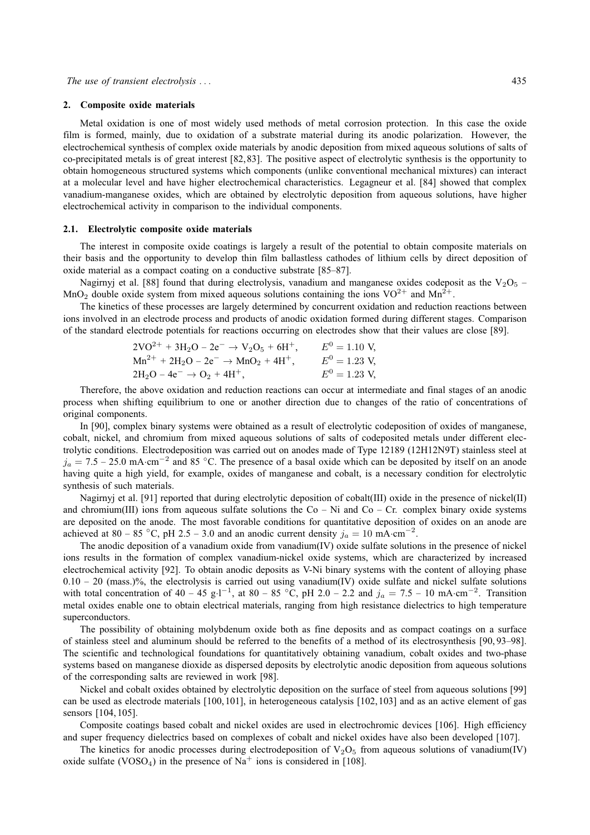### **2. Composite oxide materials**

Metal oxidation is one of most widely used methods of metal corrosion protection. In this case the oxide film is formed, mainly, due to oxidation of a substrate material during its anodic polarization. However, the electrochemical synthesis of complex oxide materials by anodic deposition from mixed aqueous solutions of salts of co-precipitated metals is of great interest [82, 83]. The positive aspect of electrolytic synthesis is the opportunity to obtain homogeneous structured systems which components (unlike conventional mechanical mixtures) can interact at a molecular level and have higher electrochemical characteristics. Legagneur et al. [84] showed that complex vanadium-manganese oxides, which are obtained by electrolytic deposition from aqueous solutions, have higher electrochemical activity in comparison to the individual components.

#### **2.1. Electrolytic composite oxide materials**

The interest in composite oxide coatings is largely a result of the potential to obtain composite materials on their basis and the opportunity to develop thin film ballastless cathodes of lithium cells by direct deposition of oxide material as a compact coating on a conductive substrate [85–87].

Nagirnyj et al. [88] found that during electrolysis, vanadium and manganese oxides codeposit as the  $V_2O_5$  – MnO<sub>2</sub> double oxide system from mixed aqueous solutions containing the ions  $VO^{2+}$  and  $Mn^{2+}$ .

The kinetics of these processes are largely determined by concurrent oxidation and reduction reactions between ions involved in an electrode process and products of anodic oxidation formed during different stages. Comparison of the standard electrode potentials for reactions occurring on electrodes show that their values are close [89].

$$
2\text{VO}^{2+} + 3\text{H}_2\text{O} - 2\text{e}^- \rightarrow \text{V}_2\text{O}_5 + 6\text{H}^+, \qquad E^0 = 1.10 \text{ V},
$$
  
\n
$$
\text{Mn}^{2+} + 2\text{H}_2\text{O} - 2\text{e}^- \rightarrow \text{MnO}_2 + 4\text{H}^+, \qquad E^0 = 1.23 \text{ V},
$$
  
\n
$$
2\text{H}_2\text{O} - 4\text{e}^- \rightarrow \text{O}_2 + 4\text{H}^+, \qquad E^0 = 1.23 \text{ V},
$$
  
\n
$$
E^0 = 1.23 \text{ V},
$$

Therefore, the above oxidation and reduction reactions can occur at intermediate and final stages of an anodic process when shifting equilibrium to one or another direction due to changes of the ratio of concentrations of original components.

In [90], complex binary systems were obtained as a result of electrolytic codeposition of oxides of manganese, cobalt, nickel, and chromium from mixed aqueous solutions of salts of codeposited metals under different electrolytic conditions. Electrodeposition was carried out on anodes made of Type 12189 (12H12N9T) stainless steel at  $j_a = 7.5 - 25.0$  mA·cm<sup>-2</sup> and 85 °C. The presence of a basal oxide which can be deposited by itself on an anode having quite a high yield, for example, oxides of manganese and cobalt, is a necessary condition for electrolytic synthesis of such materials.

Nagirnyj et al. [91] reported that during electrolytic deposition of cobalt(III) oxide in the presence of nickel(II) and chromium(III) ions from aqueous sulfate solutions the  $Co - Ni$  and  $Co - Cr$  complex binary oxide systems are deposited on the anode. The most favorable conditions for quantitative deposition of oxides on an anode are achieved at 80 – 85 °C, pH 2.5 – 3.0 and an anodic current density  $j_a = 10 \text{ mA} \cdot \text{cm}^{-2}$ .

The anodic deposition of a vanadium oxide from vanadium(IV) oxide sulfate solutions in the presence of nickel ions results in the formation of complex vanadium-nickel oxide systems, which are characterized by increased electrochemical activity [92]. To obtain anodic deposits as V-Ni binary systems with the content of alloying phase  $0.10 - 20$  (mass.)%, the electrolysis is carried out using vanadium(IV) oxide sulfate and nickel sulfate solutions with total concentration of 40 – 45 g·l<sup>-1</sup>, at 80 – 85 °C, pH 2.0 – 2.2 and  $j_a = 7.5 - 10 \text{ mA} \cdot \text{cm}^{-2}$ . Transition metal oxides enable one to obtain electrical materials, ranging from high resistance dielectrics to high temperature superconductors.

The possibility of obtaining molybdenum oxide both as fine deposits and as compact coatings on a surface of stainless steel and aluminum should be referred to the benefits of a method of its electrosynthesis [90, 93–98]. The scientific and technological foundations for quantitatively obtaining vanadium, cobalt oxides and two-phase systems based on manganese dioxide as dispersed deposits by electrolytic anodic deposition from aqueous solutions of the corresponding salts are reviewed in work [98].

Nickel and cobalt oxides obtained by electrolytic deposition on the surface of steel from aqueous solutions [99] can be used as electrode materials [100, 101], in heterogeneous catalysis [102, 103] and as an active element of gas sensors [104, 105].

Composite coatings based cobalt and nickel oxides are used in electrochromic devices [106]. High efficiency and super frequency dielectrics based on complexes of cobalt and nickel oxides have also been developed [107].

The kinetics for anodic processes during electrodeposition of  $V_2O_5$  from aqueous solutions of vanadium(IV) oxide sulfate (VOSO<sub>4</sub>) in the presence of Na<sup>+</sup> ions is considered in [108].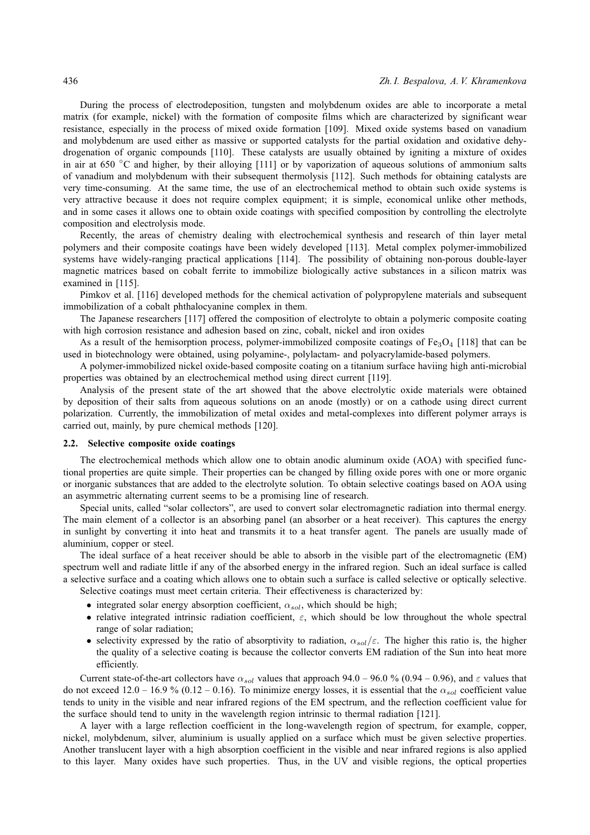During the process of electrodeposition, tungsten and molybdenum oxides are able to incorporate a metal matrix (for example, nickel) with the formation of composite films which are characterized by significant wear resistance, especially in the process of mixed oxide formation [109]. Mixed oxide systems based on vanadium and molybdenum are used either as massive or supported catalysts for the partial oxidation and oxidative dehydrogenation of organic compounds [110]. These catalysts are usually obtained by igniting a mixture of oxides in air at 650 ◦C and higher, by their alloying [111] or by vaporization of aqueous solutions of ammonium salts of vanadium and molybdenum with their subsequent thermolysis [112]. Such methods for obtaining catalysts are very time-consuming. At the same time, the use of an electrochemical method to obtain such oxide systems is very attractive because it does not require complex equipment; it is simple, economical unlike other methods, and in some cases it allows one to obtain oxide coatings with specified composition by controlling the electrolyte composition and electrolysis mode.

Recently, the areas of chemistry dealing with electrochemical synthesis and research of thin layer metal polymers and their composite coatings have been widely developed [113]. Metal complex polymer-immobilized systems have widely-ranging practical applications [114]. The possibility of obtaining non-porous double-layer magnetic matrices based on cobalt ferrite to immobilize biologically active substances in a silicon matrix was examined in [115].

Pimkov et al. [116] developed methods for the chemical activation of polypropylene materials and subsequent immobilization of a cobalt phthalocyanine complex in them.

The Japanese researchers [117] offered the composition of electrolyte to obtain a polymeric composite coating with high corrosion resistance and adhesion based on zinc, cobalt, nickel and iron oxides

As a result of the hemisorption process, polymer-immobilized composite coatings of  $Fe<sub>3</sub>O<sub>4</sub>$  [118] that can be used in biotechnology were obtained, using polyamine-, polylactam- and polyacrylamide-based polymers.

A polymer-immobilized nickel oxide-based composite coating on a titanium surface haviing high anti-microbial properties was obtained by an electrochemical method using direct current [119].

Analysis of the present state of the art showed that the above electrolytic oxide materials were obtained by deposition of their salts from aqueous solutions on an anode (mostly) or on a cathode using direct current polarization. Currently, the immobilization of metal oxides and metal-complexes into different polymer arrays is carried out, mainly, by pure chemical methods [120].

## **2.2. Selective composite oxide coatings**

The electrochemical methods which allow one to obtain anodic aluminum oxide (AOA) with specified functional properties are quite simple. Their properties can be changed by filling oxide pores with one or more organic or inorganic substances that are added to the electrolyte solution. To obtain selective coatings based on AOA using an asymmetric alternating current seems to be a promising line of research.

Special units, called "solar collectors", are used to convert solar electromagnetic radiation into thermal energy. The main element of a collector is an absorbing panel (an absorber or a heat receiver). This captures the energy in sunlight by converting it into heat and transmits it to a heat transfer agent. The panels are usually made of aluminium, copper or steel.

The ideal surface of a heat receiver should be able to absorb in the visible part of the electromagnetic (EM) spectrum well and radiate little if any of the absorbed energy in the infrared region. Such an ideal surface is called a selective surface and a coating which allows one to obtain such a surface is called selective or optically selective.

Selective coatings must meet certain criteria. Their effectiveness is characterized by:

- integrated solar energy absorption coefficient,  $\alpha_{sol}$ , which should be high;
- relative integrated intrinsic radiation coefficient,  $\varepsilon$ , which should be low throughout the whole spectral range of solar radiation;
- selectivity expressed by the ratio of absorptivity to radiation,  $\alpha_{sol}/\varepsilon$ . The higher this ratio is, the higher the quality of a selective coating is because the collector converts EM radiation of the Sun into heat more efficiently.

Current state-of-the-art collectors have  $\alpha_{sol}$  values that approach 94.0 – 96.0 % (0.94 – 0.96), and  $\varepsilon$  values that do not exceed 12.0 – 16.9 % (0.12 – 0.16). To minimize energy losses, it is essential that the  $\alpha_{sol}$  coefficient value tends to unity in the visible and near infrared regions of the EM spectrum, and the reflection coefficient value for the surface should tend to unity in the wavelength region intrinsic to thermal radiation [121].

A layer with a large reflection coefficient in the long-wavelength region of spectrum, for example, copper, nickel, molybdenum, silver, aluminium is usually applied on a surface which must be given selective properties. Another translucent layer with a high absorption coefficient in the visible and near infrared regions is also applied to this layer. Many oxides have such properties. Thus, in the UV and visible regions, the optical properties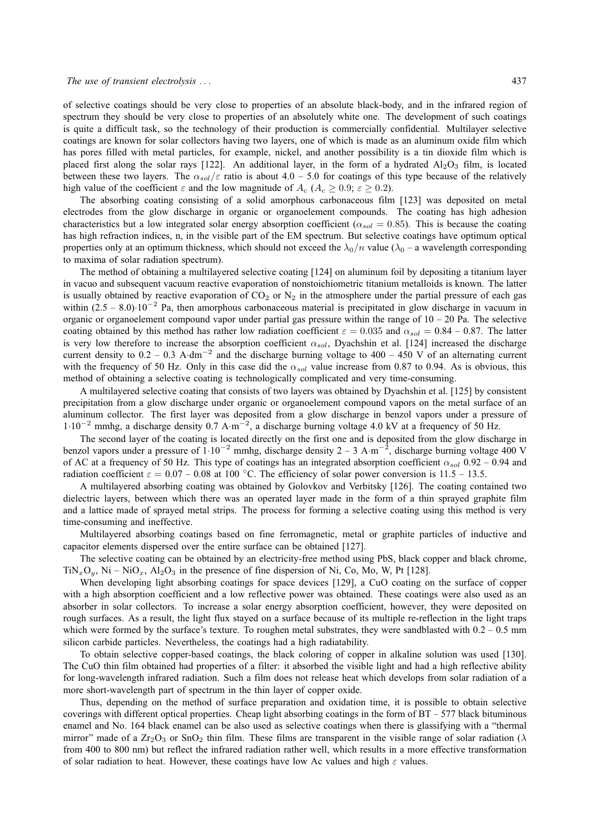of selective coatings should be very close to properties of an absolute black-body, and in the infrared region of spectrum they should be very close to properties of an absolutely white one. The development of such coatings is quite a difficult task, so the technology of their production is commercially confidential. Multilayer selective coatings are known for solar collectors having two layers, one of which is made as an aluminum oxide film which has pores filled with metal particles, for example, nickel, and another possibility is a tin dioxide film which is placed first along the solar rays [122]. An additional layer, in the form of a hydrated  $Al_2O_3$  film, is located between these two layers. The  $\alpha_{sol}/\varepsilon$  ratio is about 4.0 – 5.0 for coatings of this type because of the relatively high value of the coefficient  $\varepsilon$  and the low magnitude of  $A_c$  ( $A_c \ge 0.9$ ;  $\varepsilon \ge 0.2$ ).

The absorbing coating consisting of a solid amorphous carbonaceous film [123] was deposited on metal electrodes from the glow discharge in organic or organoelement compounds. The coating has high adhesion characteristics but a low integrated solar energy absorption coefficient ( $\alpha_{sol} = 0.85$ ). This is because the coating has high refraction indices, n, in the visible part of the EM spectrum. But selective coatings have optimum optical properties only at an optimum thickness, which should not exceed the  $\lambda_0/n$  value ( $\lambda_0$  – a wavelength corresponding to maxima of solar radiation spectrum).

The method of obtaining a multilayered selective coating [124] on aluminum foil by depositing a titanium layer in vacuo and subsequent vacuum reactive evaporation of nonstoichiometric titanium metalloids is known. The latter is usually obtained by reactive evaporation of  $CO_2$  or  $N_2$  in the atmosphere under the partial pressure of each gas within  $(2.5 - 8.0) \cdot 10^{-2}$  Pa, then amorphous carbonaceous material is precipitated in glow discharge in vacuum in organic or organoelement compound vapor under partial gas pressure within the range of  $10 - 20$  Pa. The selective coating obtained by this method has rather low radiation coefficient  $\varepsilon = 0.035$  and  $\alpha_{sol} = 0.84 - 0.87$ . The latter is very low therefore to increase the absorption coefficient  $\alpha_{sol}$ , Dyachshin et al. [124] increased the discharge current density to  $0.2 - 0.3$  A·dm<sup>-2</sup> and the discharge burning voltage to 400 – 450 V of an alternating current with the frequency of 50 Hz. Only in this case did the  $\alpha_{sol}$  value increase from 0.87 to 0.94. As is obvious, this method of obtaining a selective coating is technologically complicated and very time-consuming.

A multilayered selective coating that consists of two layers was obtained by Dyachshin et al. [125] by consistent precipitation from a glow discharge under organic or organoelement compound vapors on the metal surface of an aluminum collector. The first layer was deposited from a glow discharge in benzol vapors under a pressure of 1·10<sup>−</sup><sup>2</sup> mmhg, a discharge density 0.7 A·m −2 , a discharge burning voltage 4.0 kV at a frequency of 50 Hz.

The second layer of the coating is located directly on the first one and is deposited from the glow discharge in benzol vapors under a pressure of  $1 \cdot 10^{-2}$  mmhg, discharge density 2 – 3 A·m<sup>-2</sup>, discharge burning voltage 400 V of AC at a frequency of 50 Hz. This type of coatings has an integrated absorption coefficient  $\alpha_{sol}$  0.92 – 0.94 and radiation coefficient  $\varepsilon = 0.07 - 0.08$  at 100 °C. The efficiency of solar power conversion is 11.5 – 13.5.

A multilayered absorbing coating was obtained by Golovkov and Verbitsky [126]. The coating contained two dielectric layers, between which there was an operated layer made in the form of a thin sprayed graphite film and a lattice made of sprayed metal strips. The process for forming a selective coating using this method is very time-consuming and ineffective.

Multilayered absorbing coatings based on fine ferromagnetic, metal or graphite particles of inductive and capacitor elements dispersed over the entire surface can be obtained [127].

The selective coating can be obtained by an electricity-free method using PbS, black copper and black chrome,  $TiN_xO_y$ , Ni – NiO<sub>x</sub>, Al<sub>2</sub>O<sub>3</sub> in the presence of fine dispersion of Ni, Co, Mo, W, Pt [128].

When developing light absorbing coatings for space devices [129], a CuO coating on the surface of copper with a high absorption coefficient and a low reflective power was obtained. These coatings were also used as an absorber in solar collectors. To increase a solar energy absorption coefficient, however, they were deposited on rough surfaces. As a result, the light flux stayed on a surface because of its multiple re-reflection in the light traps which were formed by the surface's texture. To roughen metal substrates, they were sandblasted with  $0.2 - 0.5$  mm silicon carbide particles. Nevertheless, the coatings had a high radiatability.

To obtain selective copper-based coatings, the black coloring of copper in alkaline solution was used [130]. The CuO thin film obtained had properties of a filter: it absorbed the visible light and had a high reflective ability for long-wavelength infrared radiation. Such a film does not release heat which develops from solar radiation of a more short-wavelength part of spectrum in the thin layer of copper oxide.

Thus, depending on the method of surface preparation and oxidation time, it is possible to obtain selective coverings with different optical properties. Cheap light absorbing coatings in the form of  $BT - 577$  black bituminous enamel and No. 164 black enamel can be also used as selective coatings when there is glassifying with a "thermal mirror" made of a  $Zr_2O_3$  or SnO<sub>2</sub> thin film. These films are transparent in the visible range of solar radiation ( $\lambda$ from 400 to 800 nm) but reflect the infrared radiation rather well, which results in a more effective transformation of solar radiation to heat. However, these coatings have low Ac values and high  $\varepsilon$  values.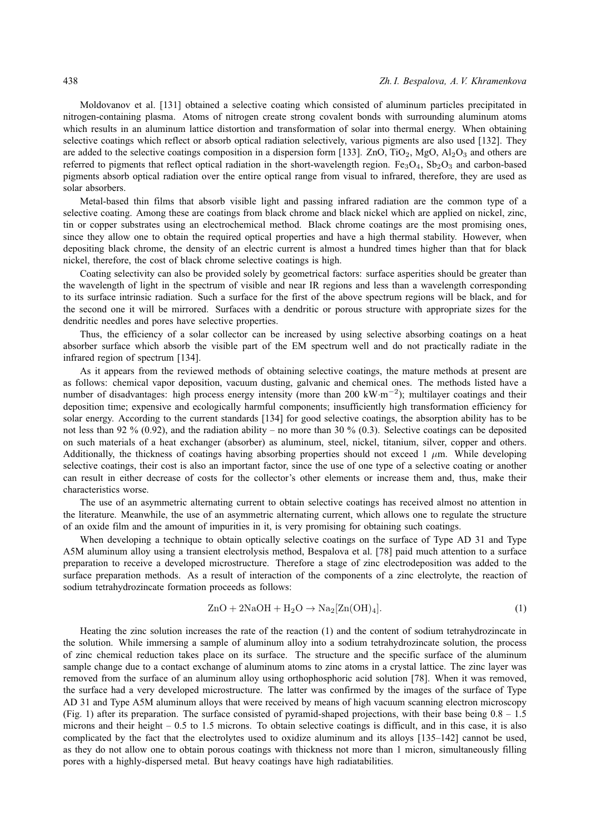Moldovanov et al. [131] obtained a selective coating which consisted of aluminum particles precipitated in nitrogen-containing plasma. Atoms of nitrogen create strong covalent bonds with surrounding aluminum atoms which results in an aluminum lattice distortion and transformation of solar into thermal energy. When obtaining selective coatings which reflect or absorb optical radiation selectively, various pigments are also used [132]. They are added to the selective coatings composition in a dispersion form [133]. ZnO, TiO<sub>2</sub>, MgO, Al<sub>2</sub>O<sub>3</sub> and others are referred to pigments that reflect optical radiation in the short-wavelength region.  $Fe<sub>3</sub>O<sub>4</sub>$ , Sb<sub>2</sub>O<sub>3</sub> and carbon-based pigments absorb optical radiation over the entire optical range from visual to infrared, therefore, they are used as solar absorbers.

Metal-based thin films that absorb visible light and passing infrared radiation are the common type of a selective coating. Among these are coatings from black chrome and black nickel which are applied on nickel, zinc, tin or copper substrates using an electrochemical method. Black chrome coatings are the most promising ones, since they allow one to obtain the required optical properties and have a high thermal stability. However, when depositing black chrome, the density of an electric current is almost a hundred times higher than that for black nickel, therefore, the cost of black chrome selective coatings is high.

Coating selectivity can also be provided solely by geometrical factors: surface asperities should be greater than the wavelength of light in the spectrum of visible and near IR regions and less than a wavelength corresponding to its surface intrinsic radiation. Such a surface for the first of the above spectrum regions will be black, and for the second one it will be mirrored. Surfaces with a dendritic or porous structure with appropriate sizes for the dendritic needles and pores have selective properties.

Thus, the efficiency of a solar collector can be increased by using selective absorbing coatings on a heat absorber surface which absorb the visible part of the EM spectrum well and do not practically radiate in the infrared region of spectrum [134].

As it appears from the reviewed methods of obtaining selective coatings, the mature methods at present are as follows: chemical vapor deposition, vacuum dusting, galvanic and chemical ones. The methods listed have a number of disadvantages: high process energy intensity (more than 200 kW·m<sup>-2</sup>); multilayer coatings and their deposition time; expensive and ecologically harmful components; insufficiently high transformation efficiency for solar energy. According to the current standards [134] for good selective coatings, the absorption ability has to be not less than 92 % (0.92), and the radiation ability – no more than 30 % (0.3). Selective coatings can be deposited on such materials of a heat exchanger (absorber) as aluminum, steel, nickel, titanium, silver, copper and others. Additionally, the thickness of coatings having absorbing properties should not exceed 1  $\mu$ m. While developing selective coatings, their cost is also an important factor, since the use of one type of a selective coating or another can result in either decrease of costs for the collector's other elements or increase them and, thus, make their characteristics worse.

The use of an asymmetric alternating current to obtain selective coatings has received almost no attention in the literature. Meanwhile, the use of an asymmetric alternating current, which allows one to regulate the structure of an oxide film and the amount of impurities in it, is very promising for obtaining such coatings.

When developing a technique to obtain optically selective coatings on the surface of Type AD 31 and Type A5M aluminum alloy using a transient electrolysis method, Bespalova et al. [78] paid much attention to a surface preparation to receive a developed microstructure. Therefore a stage of zinc electrodeposition was added to the surface preparation methods. As a result of interaction of the components of a zinc electrolyte, the reaction of sodium tetrahydrozincate formation proceeds as follows:

$$
ZnO + 2NaOH + H2O \rightarrow Na2[Zn(OH)4].
$$
\n(1)

Heating the zinc solution increases the rate of the reaction (1) and the content of sodium tetrahydrozincate in the solution. While immersing a sample of aluminum alloy into a sodium tetrahydrozincate solution, the process of zinc chemical reduction takes place on its surface. The structure and the specific surface of the aluminum sample change due to a contact exchange of aluminum atoms to zinc atoms in a crystal lattice. The zinc layer was removed from the surface of an aluminum alloy using orthophosphoric acid solution [78]. When it was removed, the surface had a very developed microstructure. The latter was confirmed by the images of the surface of Type AD 31 and Type A5M aluminum alloys that were received by means of high vacuum scanning electron microscopy (Fig. 1) after its preparation. The surface consisted of pyramid-shaped projections, with their base being 0.8 – 1.5 microns and their height – 0.5 to 1.5 microns. To obtain selective coatings is difficult, and in this case, it is also complicated by the fact that the electrolytes used to oxidize aluminum and its alloys [135–142] cannot be used, as they do not allow one to obtain porous coatings with thickness not more than 1 micron, simultaneously filling pores with a highly-dispersed metal. But heavy coatings have high radiatabilities.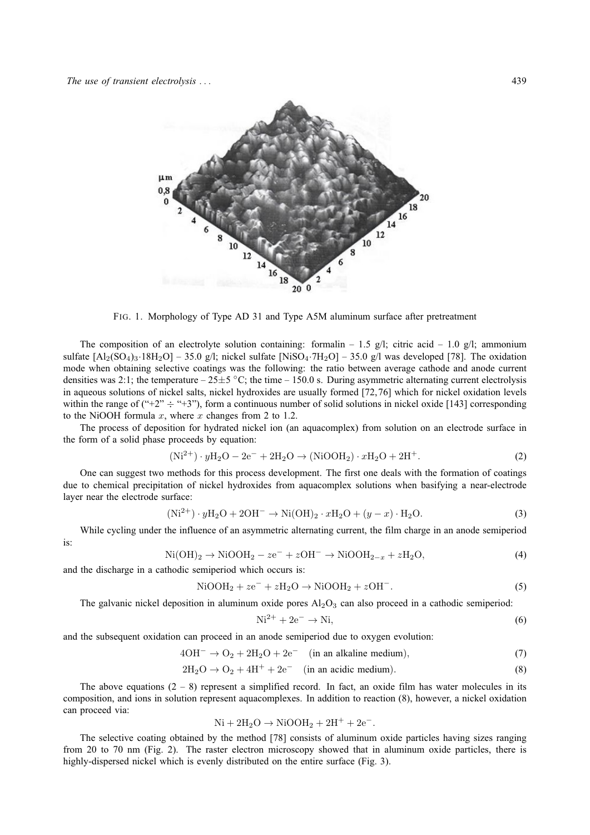

FIG. 1. Morphology of Type AD 31 and Type A5M aluminum surface after pretreatment

The composition of an electrolyte solution containing: formalin – 1.5 g/l; citric acid – 1.0 g/l; ammonium sulfate  $[A_2(SO_4)_3.18H_2O]$  – 35.0 g/l; nickel sulfate  $[NiSO_4.7H_2O]$  – 35.0 g/l was developed [78]. The oxidation mode when obtaining selective coatings was the following: the ratio between average cathode and anode current densities was 2:1; the temperature  $-25\pm 5$  °C; the time  $-150.0$  s. During asymmetric alternating current electrolysis in aqueous solutions of nickel salts, nickel hydroxides are usually formed [72,76] which for nickel oxidation levels within the range of  $(42)$   $\div$   $(43)$ , form a continuous number of solid solutions in nickel oxide [143] corresponding to the NiOOH formula  $x$ , where  $x$  changes from 2 to 1.2.

The process of deposition for hydrated nickel ion (an aquacomplex) from solution on an electrode surface in the form of a solid phase proceeds by equation:

$$
(\text{Ni}^{2+}) \cdot y\text{H}_2\text{O} - 2\text{e}^- + 2\text{H}_2\text{O} \rightarrow (\text{NiOOH}_2) \cdot x\text{H}_2\text{O} + 2\text{H}^+. \tag{2}
$$

One can suggest two methods for this process development. The first one deals with the formation of coatings due to chemical precipitation of nickel hydroxides from aquacomplex solutions when basifying a near-electrode layer near the electrode surface:

$$
(Ni2+) \cdot yH2O + 2OH- \rightarrow Ni(OH)2 \cdot xH2O + (y - x) \cdot H2O.
$$
 (3)

While cycling under the influence of an asymmetric alternating current, the film charge in an anode semiperiod is:

$$
\text{Ni(OH)}_2 \rightarrow \text{NiOOH}_2 - ze^- + zOH^- \rightarrow \text{NiOOH}_{2-x} + zH_2O,\tag{4}
$$

and the discharge in a cathodic semiperiod which occurs is:

$$
\text{NiOOH}_2 + z\text{e}^- + z\text{H}_2\text{O} \rightarrow \text{NiOOH}_2 + z\text{OH}^-.
$$
 (5)

The galvanic nickel deposition in aluminum oxide pores  $Al_2O_3$  can also proceed in a cathodic semiperiod:

$$
Ni^{2+} + 2e^- \rightarrow Ni,
$$
 (6)

and the subsequent oxidation can proceed in an anode semiperiod due to oxygen evolution:

$$
4OH^- \rightarrow O_2 + 2H_2O + 2e^- \quad (in an alkaline medium), \tag{7}
$$

$$
2H_2O \rightarrow O_2 + 4H^+ + 2e^-
$$
 (in an acidic medium). (8)

The above equations  $(2 - 8)$  represent a simplified record. In fact, an oxide film has water molecules in its composition, and ions in solution represent aquacomplexes. In addition to reaction (8), however, a nickel oxidation can proceed via:

$$
\mathrm{Ni} + 2\mathrm{H}_2\mathrm{O} \rightarrow \mathrm{NiOOH}_2 + 2\mathrm{H}^+ + 2\mathrm{e}^-.
$$

The selective coating obtained by the method [78] consists of aluminum oxide particles having sizes ranging from 20 to 70 nm (Fig. 2). The raster electron microscopy showed that in aluminum oxide particles, there is highly-dispersed nickel which is evenly distributed on the entire surface (Fig. 3).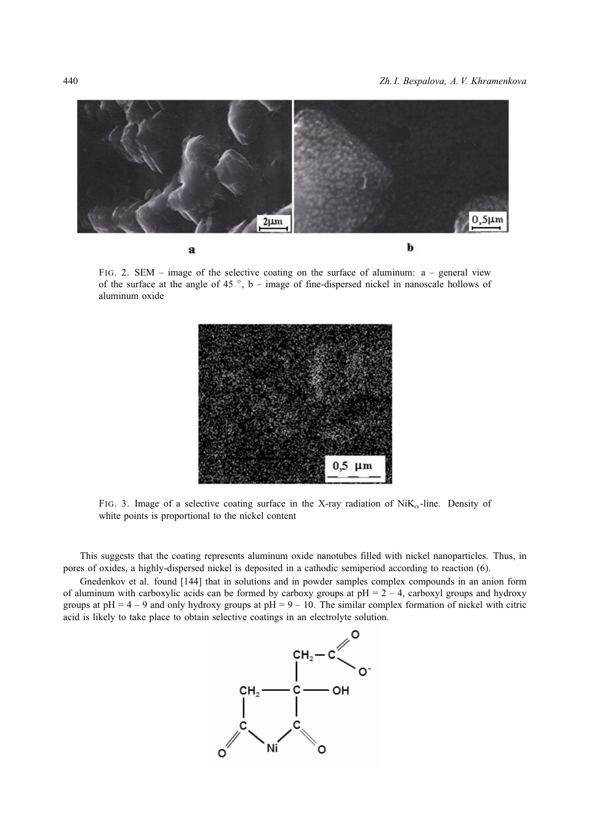

FIG. 2. SEM – image of the selective coating on the surface of aluminum: a – general view of the surface at the angle of 45 $\degree$ , b – image of fine-dispersed nickel in nanoscale hollows of aluminum oxide



FIG. 3. Image of a selective coating surface in the X-ray radiation of  $N$ iK<sub> $\alpha$ </sub>-line. Density of white points is proportional to the nickel content

This suggests that the coating represents aluminum oxide nanotubes filled with nickel nanoparticles. Thus, in pores of oxides, a highly-dispersed nickel is deposited in a cathodic semiperiod according to reaction (6).

Gnedenkov et al. found [144] that in solutions and in powder samples complex compounds in an anion form of aluminum with carboxylic acids can be formed by carboxy groups at  $pH = 2 - 4$ , carboxyl groups and hydroxy groups at  $pH = 4 - 9$  and only hydroxy groups at  $pH = 9 - 10$ . The similar complex formation of nickel with citric acid is likely to take place to obtain selective coatings in an electrolyte solution.

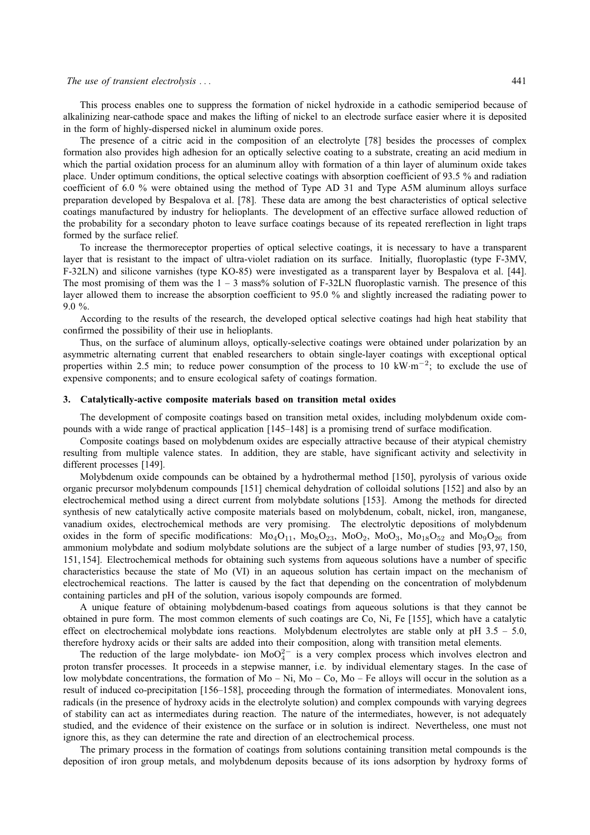#### *The use of transient electrolysis . . .* 441

This process enables one to suppress the formation of nickel hydroxide in a cathodic semiperiod because of alkalinizing near-cathode space and makes the lifting of nickel to an electrode surface easier where it is deposited in the form of highly-dispersed nickel in aluminum oxide pores.

The presence of a citric acid in the composition of an electrolyte [78] besides the processes of complex formation also provides high adhesion for an optically selective coating to a substrate, creating an acid medium in which the partial oxidation process for an aluminum alloy with formation of a thin layer of aluminum oxide takes place. Under optimum conditions, the optical selective coatings with absorption coefficient of 93.5 % and radiation coefficient of 6.0 % were obtained using the method of Type AD 31 and Type A5M aluminum alloys surface preparation developed by Bespalova et al. [78]. These data are among the best characteristics of optical selective coatings manufactured by industry for helioplants. The development of an effective surface allowed reduction of the probability for a secondary photon to leave surface coatings because of its repeated rereflection in light traps formed by the surface relief.

To increase the thermoreceptor properties of optical selective coatings, it is necessary to have a transparent layer that is resistant to the impact of ultra-violet radiation on its surface. Initially, fluoroplastic (type F-3MV, F-32LN) and silicone varnishes (type KO-85) were investigated as a transparent layer by Bespalova et al. [44]. The most promising of them was the  $1 - 3$  mass% solution of F-32LN fluoroplastic varnish. The presence of this layer allowed them to increase the absorption coefficient to 95.0 % and slightly increased the radiating power to 9.0 %.

According to the results of the research, the developed optical selective coatings had high heat stability that confirmed the possibility of their use in helioplants.

Thus, on the surface of aluminum alloys, optically-selective coatings were obtained under polarization by an asymmetric alternating current that enabled researchers to obtain single-layer coatings with exceptional optical properties within 2.5 min; to reduce power consumption of the process to 10 kW·m<sup>-2</sup>; to exclude the use of expensive components; and to ensure ecological safety of coatings formation.

#### **3. Catalytically-active composite materials based on transition metal oxides**

The development of composite coatings based on transition metal oxides, including molybdenum oxide compounds with a wide range of practical application [145–148] is a promising trend of surface modification.

Composite coatings based on molybdenum oxides are especially attractive because of their atypical chemistry resulting from multiple valence states. In addition, they are stable, have significant activity and selectivity in different processes [149].

Molybdenum oxide compounds can be obtained by a hydrothermal method [150], pyrolysis of various oxide organic precursor molybdenum compounds [151] chemical dehydration of colloidal solutions [152] and also by an electrochemical method using a direct current from molybdate solutions [153]. Among the methods for directed synthesis of new catalytically active composite materials based on molybdenum, cobalt, nickel, iron, manganese, vanadium oxides, electrochemical methods are very promising. The electrolytic depositions of molybdenum oxides in the form of specific modifications:  $Mo<sub>4</sub>O<sub>11</sub>$ ,  $Mo<sub>8</sub>O<sub>23</sub>$ ,  $Mo<sub>23</sub>$ ,  $Mo<sub>3</sub>$ ,  $Mo<sub>3</sub>$ ,  $Mo<sub>18</sub>O<sub>52</sub>$  and  $Mo<sub>9</sub>O<sub>26</sub>$  from ammonium molybdate and sodium molybdate solutions are the subject of a large number of studies [93, 97, 150, 151, 154]. Electrochemical methods for obtaining such systems from aqueous solutions have a number of specific characteristics because the state of Mo (VI) in an aqueous solution has certain impact on the mechanism of electrochemical reactions. The latter is caused by the fact that depending on the concentration of molybdenum containing particles and pH of the solution, various isopoly compounds are formed.

A unique feature of obtaining molybdenum-based coatings from aqueous solutions is that they cannot be obtained in pure form. The most common elements of such coatings are Co, Ni, Fe [155], which have a catalytic effect on electrochemical molybdate ions reactions. Molybdenum electrolytes are stable only at pH 3.5 – 5.0, therefore hydroxy acids or their salts are added into their composition, along with transition metal elements.

The reduction of the large molybdate- ion MoO $^{2-}$  is a very complex process which involves electron and proton transfer processes. It proceeds in a stepwise manner, i.e. by individual elementary stages. In the case of low molybdate concentrations, the formation of Mo – Ni, Mo – Co, Mo – Fe alloys will occur in the solution as a result of induced co-precipitation [156–158], proceeding through the formation of intermediates. Monovalent ions, radicals (in the presence of hydroxy acids in the electrolyte solution) and complex compounds with varying degrees of stability can act as intermediates during reaction. The nature of the intermediates, however, is not adequately studied, and the evidence of their existence on the surface or in solution is indirect. Nevertheless, one must not ignore this, as they can determine the rate and direction of an electrochemical process.

The primary process in the formation of coatings from solutions containing transition metal compounds is the deposition of iron group metals, and molybdenum deposits because of its ions adsorption by hydroxy forms of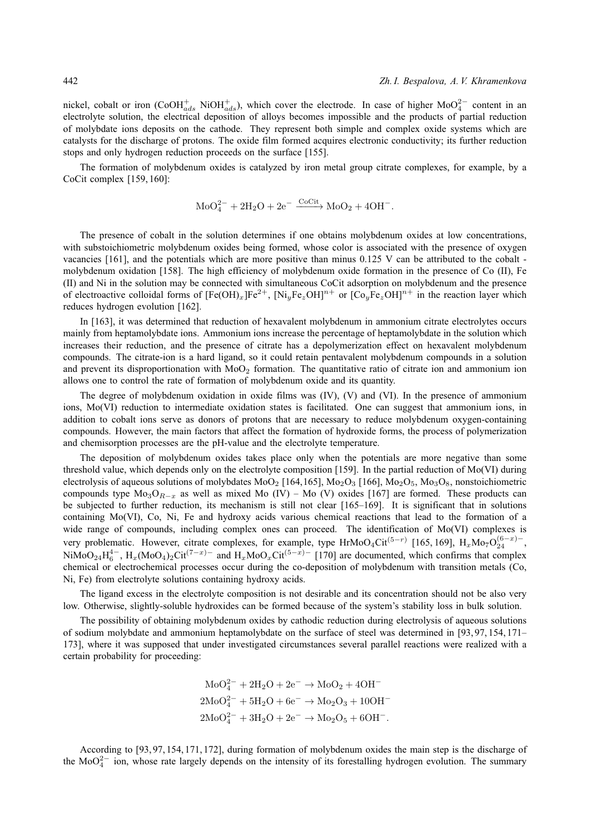nickel, cobalt or iron (CoOH $_{ads}^+$  NiOH $_{ads}^+$ ), which cover the electrode. In case of higher MoO<sup>2</sup><sup>-</sup> content in an electrolyte solution, the electrical deposition of alloys becomes impossible and the products of partial reduction of molybdate ions deposits on the cathode. They represent both simple and complex oxide systems which are catalysts for the discharge of protons. The oxide film formed acquires electronic conductivity; its further reduction stops and only hydrogen reduction proceeds on the surface [155].

The formation of molybdenum oxides is catalyzed by iron metal group citrate complexes, for example, by a CoCit complex [159, 160]:

$$
\text{MoO}_4^{2-} + 2\text{H}_2\text{O} + 2\text{e}^- \xrightarrow{\text{CoCit}} \text{MoO}_2 + 4\text{OH}^-.
$$

The presence of cobalt in the solution determines if one obtains molybdenum oxides at low concentrations, with substoichiometric molybdenum oxides being formed, whose color is associated with the presence of oxygen vacancies [161], and the potentials which are more positive than minus 0.125 V can be attributed to the cobalt molybdenum oxidation [158]. The high efficiency of molybdenum oxide formation in the presence of Co (II), Fe (II) and Ni in the solution may be connected with simultaneous CoCit adsorption on molybdenum and the presence of electroactive colloidal forms of  $[Fe(OH)_x]Fe^{2+}$ ,  $[Ni_yFe_zOH]^{n+}$  or  $[Co_yFe_zOH]^{n+}$  in the reaction layer which reduces hydrogen evolution [162].

In [163], it was determined that reduction of hexavalent molybdenum in ammonium citrate electrolytes occurs mainly from heptamolybdate ions. Ammonium ions increase the percentage of heptamolybdate in the solution which increases their reduction, and the presence of citrate has a depolymerization effect on hexavalent molybdenum compounds. The citrate-ion is a hard ligand, so it could retain pentavalent molybdenum compounds in a solution and prevent its disproportionation with  $MoO<sub>2</sub>$  formation. The quantitative ratio of citrate ion and ammonium ion allows one to control the rate of formation of molybdenum oxide and its quantity.

The degree of molybdenum oxidation in oxide films was (IV), (V) and (VI). In the presence of ammonium ions, Mo(VI) reduction to intermediate oxidation states is facilitated. One can suggest that ammonium ions, in addition to cobalt ions serve as donors of protons that are necessary to reduce molybdenum oxygen-containing compounds. However, the main factors that affect the formation of hydroxide forms, the process of polymerization and chemisorption processes are the pH-value and the electrolyte temperature.

The deposition of molybdenum oxides takes place only when the potentials are more negative than some threshold value, which depends only on the electrolyte composition [159]. In the partial reduction of Mo(VI) during electrolysis of aqueous solutions of molybdates  $M_0O_2$  [164,165],  $M_0O_3$  [166],  $M_0O_2$ ,  $M_0O_8$ , nonstoichiometric compounds type  $Mo<sub>3</sub>O<sub>R-x</sub>$  as well as mixed Mo (IV) – Mo (V) oxides [167] are formed. These products can be subjected to further reduction, its mechanism is still not clear [165–169]. It is significant that in solutions containing Mo(VI), Co, Ni, Fe and hydroxy acids various chemical reactions that lead to the formation of a wide range of compounds, including complex ones can proceed. The identification of Mo(VI) complexes is very problematic. However, citrate complexes, for example, type HrMoO<sub>4</sub>Cit<sup>(5-r)</sup> [165, 169], H<sub>x</sub>Mo<sub>7</sub>O<sub>24</sub><sup>(6-x)</sup>-NiMoO<sub>24</sub>H<sub>6</sub><sup>-</sup>, H<sub>x</sub>(MoO<sub>4</sub>)<sub>2</sub>Cit<sup>(7-x)</sup><sup>-</sup> and H<sub>x</sub>MoO<sub>x</sub>Cit<sup>(5-x)</sup><sup>-</sup> [170] are documented, which confirms that complex chemical or electrochemical processes occur during the co-deposition of molybdenum with transition metals (Co, Ni, Fe) from electrolyte solutions containing hydroxy acids.

The ligand excess in the electrolyte composition is not desirable and its concentration should not be also very low. Otherwise, slightly-soluble hydroxides can be formed because of the system's stability loss in bulk solution.

The possibility of obtaining molybdenum oxides by cathodic reduction during electrolysis of aqueous solutions of sodium molybdate and ammonium heptamolybdate on the surface of steel was determined in [93, 97, 154, 171– 173], where it was supposed that under investigated circumstances several parallel reactions were realized with a certain probability for proceeding:

$$
MoO42 + 2H2O + 2e- \rightarrow MoO2 + 4OH-
$$
  
2MoO<sub>4</sub><sup>2</sup> + 5H<sub>2</sub>O + 6e<sup>-</sup> \rightarrow Mo<sub>2</sub>O<sub>3</sub> + 10OH<sup>-</sup>  
2MoO<sub>4</sub><sup>2</sup> + 3H<sub>2</sub>O + 2e<sup>-</sup> \rightarrow Mo<sub>2</sub>O<sub>5</sub> + 6OH<sup>-</sup>.

According to [93, 97, 154, 171, 172], during formation of molybdenum oxides the main step is the discharge of the MoO $_4^{2-}$  ion, whose rate largely depends on the intensity of its forestalling hydrogen evolution. The summary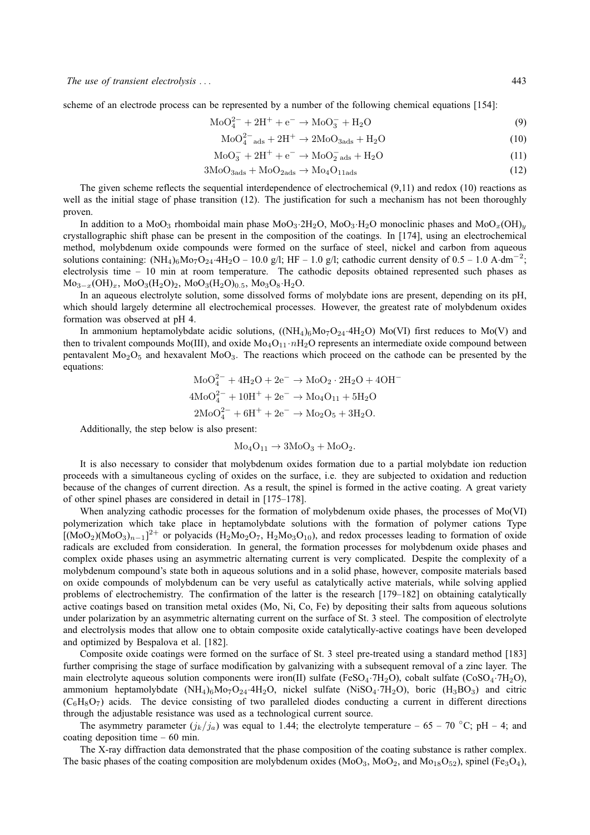scheme of an electrode process can be represented by a number of the following chemical equations [154]:

$$
MoO42- + 2H+ + e- \to MoO3- + H2O
$$
\n(9)

$$
\text{MoO}_4^{2-} \text{ads} + 2\text{H}^+ \to 2\text{MoO}_{3\text{ads}} + \text{H}_2\text{O}
$$
 (10)

$$
\text{MoO}_3^- + 2\text{H}^+ + \text{e}^- \rightarrow \text{MoO}_2^- \text{ads} + \text{H}_2\text{O}
$$
 (11)

$$
3\text{MoO}_{3\text{ads}} + \text{MoO}_{2\text{ads}} \rightarrow \text{Mo}_{4}\text{O}_{11\text{ads}} \tag{12}
$$

The given scheme reflects the sequential interdependence of electrochemical (9,11) and redox (10) reactions as well as the initial stage of phase transition (12). The justification for such a mechanism has not been thoroughly proven.

In addition to a MoO<sub>3</sub> rhomboidal main phase MoO<sub>3</sub>·2H<sub>2</sub>O, MoO<sub>3</sub>·H<sub>2</sub>O monoclinic phases and MoO<sub>x</sub>(OH)<sub>y</sub> crystallographic shift phase can be present in the composition of the coatings. In [174], using an electrochemical method, molybdenum oxide compounds were formed on the surface of steel, nickel and carbon from aqueous solutions containing:  $(NH_4)_6M_0T_2a_4·4H_2O - 10.0$  g/l; HF – 1.0 g/l; cathodic current density of 0.5 – 1.0 A·dm<sup>-2</sup>; electrolysis time – 10 min at room temperature. The cathodic deposits obtained represented such phases as  $Mo_{3-x}(OH)_x$ ,  $Mo_{3}(H_2O)_2$ ,  $Mo_{3}(H_2O)_{0.5}$ ,  $Mo_{3}O_{8}·H_2O$ .

In an aqueous electrolyte solution, some dissolved forms of molybdate ions are present, depending on its pH, which should largely determine all electrochemical processes. However, the greatest rate of molybdenum oxides formation was observed at pH 4.

In ammonium heptamolybdate acidic solutions,  $((NH_4)_6Mo_7O_{24} \cdot 4H_2O)$  Mo(VI) first reduces to Mo(V) and then to trivalent compounds Mo(III), and oxide Mo<sub>4</sub>O<sub>11</sub>  $nH_2O$  represents an intermediate oxide compound between pentavalent  $Mo<sub>2</sub>O<sub>5</sub>$  and hexavalent  $Mo<sub>3</sub>$ . The reactions which proceed on the cathode can be presented by the equations:

$$
MoO42- + 4H2O + 2e- \rightarrow MoO2 \cdot 2H2O + 4OH-
$$
  

$$
4MoO42- + 10H+ + 2e- \rightarrow Mo4O11 + 5H2O
$$
  

$$
2MoO42- + 6H+ + 2e- \rightarrow Mo2O5 + 3H2O.
$$

Additionally, the step below is also present:

$$
Mo_4O_{11} \rightarrow 3MoO_3 + MoO_2.
$$

It is also necessary to consider that molybdenum oxides formation due to a partial molybdate ion reduction proceeds with a simultaneous cycling of oxides on the surface, i.e. they are subjected to oxidation and reduction because of the changes of current direction. As a result, the spinel is formed in the active coating. A great variety of other spinel phases are considered in detail in [175–178].

When analyzing cathodic processes for the formation of molybdenum oxide phases, the processes of Mo(VI) polymerization which take place in heptamolybdate solutions with the formation of polymer cations Type [(MoO<sub>2</sub>)(MoO<sub>3</sub>)<sub>n−1</sub>]<sup>2+</sup> or polyacids (H<sub>2</sub>Mo<sub>2</sub>O<sub>7</sub>, H<sub>2</sub>Mo<sub>3</sub>O<sub>10</sub>), and redox processes leading to formation of oxide radicals are excluded from consideration. In general, the formation processes for molybdenum oxide phases and complex oxide phases using an asymmetric alternating current is very complicated. Despite the complexity of a molybdenum compound's state both in aqueous solutions and in a solid phase, however, composite materials based on oxide compounds of molybdenum can be very useful as catalytically active materials, while solving applied problems of electrochemistry. The confirmation of the latter is the research [179–182] on obtaining catalytically active coatings based on transition metal oxides (Mo, Ni, Co, Fe) by depositing their salts from aqueous solutions under polarization by an asymmetric alternating current on the surface of St. 3 steel. The composition of electrolyte and electrolysis modes that allow one to obtain composite oxide catalytically-active coatings have been developed and optimized by Bespalova et al. [182].

Composite oxide coatings were formed on the surface of St. 3 steel pre-treated using a standard method [183] further comprising the stage of surface modification by galvanizing with a subsequent removal of a zinc layer. The main electrolyte aqueous solution components were iron(II) sulfate (FeSO<sub>4</sub>·7H<sub>2</sub>O), cobalt sulfate (CoSO<sub>4</sub>·7H<sub>2</sub>O), ammonium heptamolybdate  $(NH_4)_6M_07O_{24} \cdot 4H_2O$ , nickel sulfate  $(NiSO_4 \cdot 7H_2O)$ , boric  $(H_3BO_3)$  and citric  $(C_6H_8O_7)$  acids. The device consisting of two paralleled diodes conducting a current in different directions through the adjustable resistance was used as a technological current source.

The asymmetry parameter  $(j_k/j_a)$  was equal to 1.44; the electrolyte temperature – 65 – 70 °C; pH – 4; and coating deposition time – 60 min.

The X-ray diffraction data demonstrated that the phase composition of the coating substance is rather complex. The basic phases of the coating composition are molybdenum oxides  $(MoO<sub>3</sub>, MoO<sub>2</sub>, and Mo<sub>18</sub>O<sub>52</sub>)$ , spinel (Fe<sub>3</sub>O<sub>4</sub>),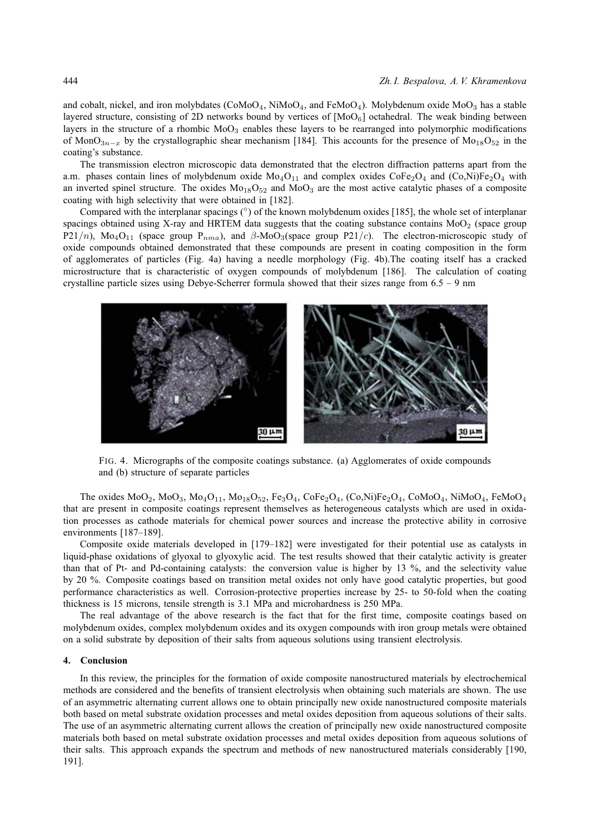and cobalt, nickel, and iron molybdates ( $COMoO<sub>4</sub>$ , NiMo $O<sub>4</sub>$ , and FeMo $O<sub>4</sub>$ ). Molybdenum oxide Mo $O<sub>3</sub>$  has a stable layered structure, consisting of 2D networks bound by vertices of  $[MOO<sub>6</sub>]$  octahedral. The weak binding between layers in the structure of a rhombic  $Mo<sub>3</sub>$  enables these layers to be rearranged into polymorphic modifications of MonO<sub>3n−x</sub> by the crystallographic shear mechanism [184]. This accounts for the presence of Mo<sub>18</sub>O<sub>52</sub> in the coating's substance.

The transmission electron microscopic data demonstrated that the electron diffraction patterns apart from the a.m. phases contain lines of molybdenum oxide  $Mo<sub>4</sub>O<sub>11</sub>$  and complex oxides  $CoFe<sub>2</sub>O<sub>4</sub>$  and  $(Co,Ni)Fe<sub>2</sub>O<sub>4</sub>$  with an inverted spinel structure. The oxides  $Mo_{18}O_{52}$  and  $MoO_3$  are the most active catalytic phases of a composite coating with high selectivity that were obtained in [182].

Compared with the interplanar spacings (°) of the known molybdenum oxides [185], the whole set of interplanar spacings obtained using X-ray and HRTEM data suggests that the coating substance contains  $MoO<sub>2</sub>$  (space group P21/n), Mo<sub>4</sub>O<sub>11</sub> (space group P<sub>nma</sub>), and β-MoO<sub>3</sub>(space group P21/c). The electron-microscopic study of oxide compounds obtained demonstrated that these compounds are present in coating composition in the form of agglomerates of particles (Fig. 4a) having a needle morphology (Fig. 4b).The coating itself has a cracked microstructure that is characteristic of oxygen compounds of molybdenum [186]. The calculation of coating crystalline particle sizes using Debye-Scherrer formula showed that their sizes range from  $6.5 - 9$  nm



FIG. 4. Micrographs of the composite coatings substance. (a) Agglomerates of oxide compounds and (b) structure of separate particles

The oxides  $MO_2$ ,  $MO_3$ ,  $MO_4O_{11}$ ,  $Mo_{18}O_{52}$ ,  $Fe_3O_4$ ,  $CoFe_2O_4$ ,  $(Co,Ni)Fe_2O_4$ ,  $CoMo_4$ ,  $NiMoO_4$ ,  $FeMoO_4$ that are present in composite coatings represent themselves as heterogeneous catalysts which are used in oxidation processes as cathode materials for chemical power sources and increase the protective ability in corrosive environments [187–189].

Composite oxide materials developed in [179–182] were investigated for their potential use as catalysts in liquid-phase oxidations of glyoxal to glyoxylic acid. The test results showed that their catalytic activity is greater than that of Pt- and Pd-containing catalysts: the conversion value is higher by 13 %, and the selectivity value by 20 %. Composite coatings based on transition metal oxides not only have good catalytic properties, but good performance characteristics as well. Corrosion-protective properties increase by 25- to 50-fold when the coating thickness is 15 microns, tensile strength is 3.1 MPa and microhardness is 250 MPa.

The real advantage of the above research is the fact that for the first time, composite coatings based on molybdenum oxides, complex molybdenum oxides and its oxygen compounds with iron group metals were obtained on a solid substrate by deposition of their salts from aqueous solutions using transient electrolysis.

#### **4. Conclusion**

In this review, the principles for the formation of oxide composite nanostructured materials by electrochemical methods are considered and the benefits of transient electrolysis when obtaining such materials are shown. The use of an asymmetric alternating current allows one to obtain principally new oxide nanostructured composite materials both based on metal substrate oxidation processes and metal oxides deposition from aqueous solutions of their salts. The use of an asymmetric alternating current allows the creation of principally new oxide nanostructured composite materials both based on metal substrate oxidation processes and metal oxides deposition from aqueous solutions of their salts. This approach expands the spectrum and methods of new nanostructured materials considerably [190, 191].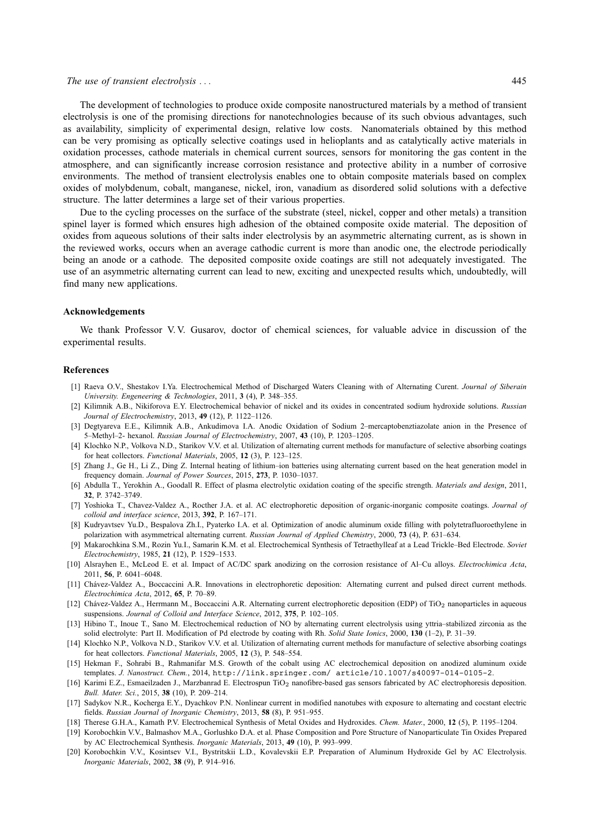#### *The use of transient electrolysis . . .* 445

The development of technologies to produce oxide composite nanostructured materials by a method of transient electrolysis is one of the promising directions for nanotechnologies because of its such obvious advantages, such as availability, simplicity of experimental design, relative low costs. Nanomaterials obtained by this method can be very promising as optically selective coatings used in helioplants and as catalytically active materials in oxidation processes, cathode materials in chemical current sources, sensors for monitoring the gas content in the atmosphere, and can significantly increase corrosion resistance and protective ability in a number of corrosive environments. The method of transient electrolysis enables one to obtain composite materials based on complex oxides of molybdenum, cobalt, manganese, nickel, iron, vanadium as disordered solid solutions with a defective structure. The latter determines a large set of their various properties.

Due to the cycling processes on the surface of the substrate (steel, nickel, copper and other metals) a transition spinel layer is formed which ensures high adhesion of the obtained composite oxide material. The deposition of oxides from aqueous solutions of their salts inder electrolysis by an asymmetric alternating current, as is shown in the reviewed works, occurs when an average cathodic current is more than anodic one, the electrode periodically being an anode or a cathode. The deposited composite oxide coatings are still not adequately investigated. The use of an asymmetric alternating current can lead to new, exciting and unexpected results which, undoubtedly, will find many new applications.

### **Acknowledgements**

We thank Professor V.V. Gusarov, doctor of chemical sciences, for valuable advice in discussion of the experimental results.

#### **References**

- [1] Raeva O.V., Shestakov I.Ya. Electrochemical Method of Discharged Waters Cleaning with of Alternating Curent. *Journal of Siberain University. Engeneering & Technologies*, 2011, **3** (4), P. 348–355.
- [2] Kilimnik A.B., Nikiforova E.Y. Electrochemical behavior of nickel and its oxides in concentrated sodium hydroxide solutions. *Russian Journal of Electrochemistry*, 2013, **49** (12), P. 1122–1126.
- [3] Degtyareva E.E., Kilimnik A.B., Ankudimova I.A. Anodic Oxidation of Sodium 2–mercaptobenztiazolate anion in the Presence of 5–Methyl–2- hexanol. *Russian Journal of Electrochemistry*, 2007, **43** (10), P. 1203–1205.
- [4] Klochko N.P., Volkova N.D., Starikov V.V. et al. Utilization of alternating current methods for manufacture of selective absorbing coatings for heat collectors. *Functional Materials*, 2005, **12** (3), P. 123–125.
- [5] Zhang J., Ge H., Li Z., Ding Z. Internal heating of lithium–ion batteries using alternating current based on the heat generation model in frequency domain. *Journal of Power Sources*, 2015, **273**, P. 1030–1037.
- [6] Abdulla T., Yerokhin A., Goodall R. Effect of plasma electrolytic oxidation coating of the specific strength. *Materials and design*, 2011, **32**, P. 3742–3749.
- [7] Yoshioka T., Chavez-Valdez A., Rocther J.A. et al. AC electrophoretic deposition of organic-inorganic composite coatings. *Journal of colloid and interface science*, 2013, **392**, P. 167–171.
- [8] Kudryavtsev Yu.D., Bespalova Zh.I., Pyaterko I.A. et al. Optimization of anodic aluminum oxide filling with polytetrafluoroethylene in polarization with asymmetrical alternating current. *Russian Journal of Applied Chemistry*, 2000, **73** (4), P. 631–634.
- [9] Makarochkina S.M., Rozin Yu.I., Samarin K.M. et al. Electrochemical Synthesis of Tetraethylleaf at a Lead Trickle–Bed Electrode. *Soviet Electrochemistry*, 1985, **21** (12), P. 1529–1533.
- [10] Alsrayhen E., McLeod E. et al. Impact of AC/DC spark anodizing on the corrosion resistance of Al–Cu alloys. *Electrochimica Acta*, 2011, **56**, P. 6041–6048.
- [11] Chávez-Valdez A., Boccaccini A.R. Innovations in electrophoretic deposition: Alternating current and pulsed direct current methods. *Electrochimica Acta*, 2012, **65**, P. 70–89.
- [12] Chávez-Valdez A., Herrmann M., Boccaccini A.R. Alternating current electrophoretic deposition (EDP) of TiO<sub>2</sub> nanoparticles in aqueous suspensions. *Journal of Colloid and Interface Science*, 2012, **375**, P. 102–105.
- [13] Hibino T., Inoue T., Sano M. Electrochemical reduction of NO by alternating current electrolysis using yttria–stabilized zirconia as the solid electrolyte: Part II. Modification of Pd electrode by coating with Rh. *Solid State Ionics*, 2000, **130** (1–2), P. 31–39.
- [14] Klochko N.P., Volkova N.D., Starikov V.V. et al. Utilization of alternating current methods for manufacture of selective absorbing coatings for heat collectors. *Functional Materials*, 2005, **12** (3), P. 548–554.
- [15] Hekman F., Sohrabi B., Rahmanifar M.S. Growth of the cobalt using AC electrochemical deposition on anodized aluminum oxide templates. *J. Nanostruct. Chem.*, 2014, http://link.springer.com/ article/10.1007/s40097-014-0105-2.
- [16] Karimi E.Z., Esmaeilzaden J., Marzbanrad E. Electrospun TiO<sub>2</sub> nanofibre-based gas sensors fabricated by AC electrophoresis deposition. *Bull. Mater. Sci.*, 2015, **38** (10), P. 209–214.
- [17] Sadykov N.R., Kocherga E.Y., Dyachkov P.N. Nonlinear current in modified nanotubes with exposure to alternating and cocstant electric fields. *Russian Journal of Inorganic Chemistry*, 2013, **58** (8), P. 951–955.
- [18] Therese G.H.A., Kamath P.V. Electrochemical Synthesis of Metal Oxides and Hydroxides. *Chem. Mater.*, 2000, **12** (5), P. 1195–1204.
- [19] Korobochkin V.V., Balmashov M.A., Gorlushko D.A. et al. Phase Composition and Pore Structure of Nanoparticulate Tin Oxides Prepared by AC Electrochemical Synthesis. *Inorganic Materials*, 2013, **49** (10), P. 993–999.
- [20] Korobochkin V.V., Kosintsev V.I., Bystritskii L.D., Kovalevskii E.P. Preparation of Aluminum Hydroxide Gel by AC Electrolysis. *Inorganic Materials*, 2002, **38** (9), P. 914–916.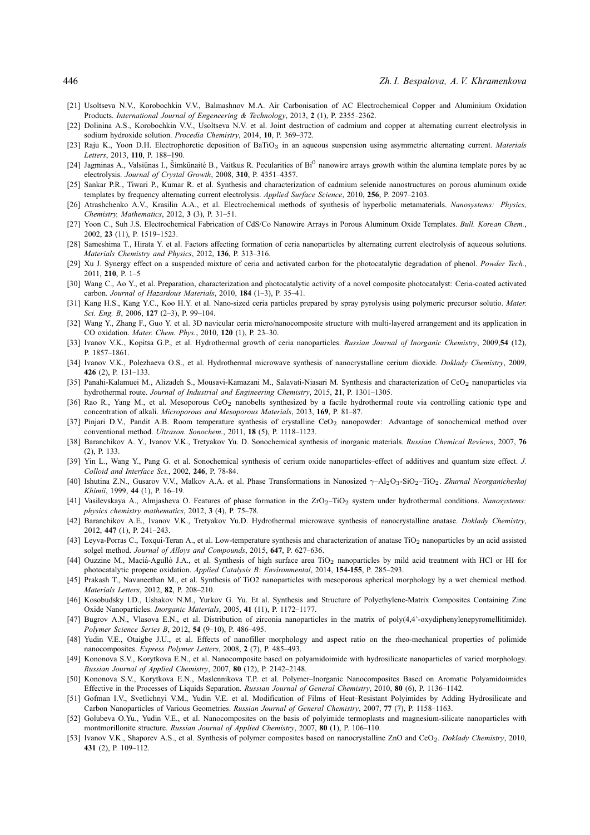- [21] Usoltseva N.V., Korobochkin V.V., Balmashnov M.A. Air Carbonisation of AC Electrochemical Copper and Aluminium Oxidation Products. *International Journal of Engeneering & Technology*, 2013, **2** (1), P. 2355–2362.
- [22] Dolinina A.S., Korobochkin V.V., Usoltseva N.V. et al. Joint destruction of cadmium and copper at alternating current electrolysis in sodium hydroxide solution. *Procedia Chemistry*, 2014, **10**, P. 369–372.
- [23] Raju K., Yoon D.H. Electrophoretic deposition of BaTiO<sub>3</sub> in an aqueous suspension using asymmetric alternating current. *Materials Letters*, 2013, **110**, P. 188–190.
- [24] Jagminas A., Valsiūnas I., Šimkūnaitė B., Vaitkus R. Pecularities of Bi<sup>0</sup> nanowire arrays growth within the alumina template pores by ac electrolysis. *Journal of Crystal Growth*, 2008, **310**, P. 4351–4357.
- [25] Sankar P.R., Tiwari P., Kumar R. et al. Synthesis and characterization of cadmium selenide nanostructures on porous aluminum oxide templates by frequency alternating current electrolysis. *Applied Surface Science*, 2010, **256**, P. 2097–2103.
- [26] Atrashchenko A.V., Krasilin A.A., et al. Electrochemical methods of synthesis of hyperbolic metamaterials. *Nanosystems: Physics, Chemistry, Mathematics*, 2012, **3** (3), P. 31–51.
- [27] Yoon C., Suh J.S. Electrochemical Fabrication of CdS/Co Nanowire Arrays in Porous Aluminum Oxide Templates. *Bull. Korean Chem.*, 2002, **23** (11), P. 1519–1523.
- [28] Sameshima T., Hirata Y. et al. Factors affecting formation of ceria nanoparticles by alternating current electrolysis of aqueous solutions. *Materials Chemistry and Physics*, 2012, **136**, P. 313–316.
- [29] Xu J. Synergy effect on a suspended mixture of ceria and activated carbon for the photocatalytic degradation of phenol. *Powder Tech.*, 2011, **210**, P. 1–5
- [30] Wang C., Ao Y., et al. Preparation, characterization and photocatalytic activity of a novel composite photocatalyst: Ceria-coated activated carbon. *Journal of Hazardous Materials*, 2010, **184** (1–3), P. 35–41.
- [31] Kang H.S., Kang Y.C., Koo H.Y. et al. Nano-sized ceria particles prepared by spray pyrolysis using polymeric precursor solutio. *Mater. Sci. Eng. B*, 2006, **127** (2–3), P. 99–104.
- [32] Wang Y., Zhang F., Guo Y. et al. 3D navicular ceria micro/nanocomposite structure with multi-layered arrangement and its application in CO oxidation. *Mater. Chem. Phys.*, 2010, **120** (1), P. 23–30.
- [33] Ivanov V.K., Kopitsa G.P., et al. Hydrothermal growth of ceria nanoparticles. *Russian Journal of Inorganic Chemistry*, 2009,**54** (12), P. 1857–1861.
- [34] Ivanov V.K., Polezhaeva O.S., et al. Hydrothermal microwave synthesis of nanocrystalline cerium dioxide. *Doklady Chemistry*, 2009, **426** (2), P. 131–133.
- [35] Panahi-Kalamuei M., Alizadeh S., Mousavi-Kamazani M., Salavati-Niasari M. Synthesis and characterization of CeO<sub>2</sub> nanoparticles via hydrothermal route. *Journal of Industrial and Engineering Chemistry*, 2015, **21**, P. 1301–1305.
- [36] Rao R., Yang M., et al. Mesoporous CeO<sub>2</sub> nanobelts synthesized by a facile hydrothermal route via controlling cationic type and concentration of alkali. *Microporous and Mesoporous Materials*, 2013, **169**, P. 81–87.
- [37] Pinjari D.V., Pandit A.B. Room temperature synthesis of crystalline CeO<sub>2</sub> nanopowder: Advantage of sonochemical method over conventional method. *Ultrason. Sonochem.*, 2011, **18** (5), P. 1118–1123.
- [38] Baranchikov A. Y., Ivanov V.K., Tretyakov Yu. D. Sonochemical synthesis of inorganic materials. *Russian Chemical Reviews*, 2007, **76** (2), P. 133.
- [39] Yin L., Wang Y., Pang G. et al. Sonochemical synthesis of cerium oxide nanoparticles–effect of additives and quantum size effect. *J. Colloid and Interface Sci.*, 2002, **246**, P. 78-84.
- [40] Ishutina Z.N., Gusarov V.V., Malkov A.A. et al. Phase Transformations in Nanosized γ–Al2O3-SiO2–TiO2. *Zhurnal Neorganicheskoj Khimii*, 1999, **44** (1), P. 16–19.
- [41] Vasilevskaya A., Almjasheva O. Features of phase formation in the ZrO<sub>2</sub>–TiO<sub>2</sub> system under hydrothermal conditions. *Nanosystems: physics chemistry mathematics*, 2012, **3** (4), P. 75–78.
- [42] Baranchikov A.E., Ivanov V.K., Tretyakov Yu.D. Hydrothermal microwave synthesis of nanocrystalline anatase. *Doklady Chemistry*, 2012, **447** (1), P. 241–243.
- [43] Leyva-Porras C., Toxqui-Teran A., et al. Low-temperature synthesis and characterization of anatase TiO<sub>2</sub> nanoparticles by an acid assisted solgel method. *Journal of Alloys and Compounds*, 2015, **647**, P. 627–636.
- [44] Ouzzine M., Maciá-Agulló J.A., et al. Synthesis of high surface area TiO<sub>2</sub> nanoparticles by mild acid treatment with HCl or HI for photocatalytic propene oxidation. *Applied Catalysis B: Environmental*, 2014, **154-155**, P. 285–293.
- [45] Prakash T., Navaneethan M., et al. Synthesis of TiO2 nanoparticles with mesoporous spherical morphology by a wet chemical method. *Materials Letters*, 2012, **82**, P. 208–210.
- [46] Kosobudsky I.D., Ushakov N.M., Yurkov G. Yu. Et al. Synthesis and Structure of Polyethylene-Matrix Composites Containing Zinc Oxide Nanoparticles. *Inorganic Materials*, 2005, **41** (11), P. 1172–1177.
- [47] Bugrov A.N., Vlasova E.N., et al. Distribution of zirconia nanoparticles in the matrix of poly(4,4'-oxydiphenylenepyromellitimide). *Polymer Science Series B*, 2012, **54** (9–10), P. 486–495.
- [48] Yudin V.E., Otaigbe J.U., et al. Effects of nanofiller morphology and aspect ratio on the rheo-mechanical properties of polimide nanocomposites. *Express Polymer Letters*, 2008, **2** (7), P. 485–493.
- [49] Kononova S.V., Korytkova E.N., et al. Nanocomposite based on polyamidoimide with hydrosilicate nanoparticles of varied morphology. *Russian Journal of Applied Chemistry*, 2007, **80** (12), P. 2142–2148.
- [50] Kononova S.V., Korytkova E.N., Maslennikova T.P. et al. Polymer–Inorganic Nanocomposites Based on Aromatic Polyamidoimides Effective in the Processes of Liquids Separation. *Russian Journal of General Chemistry*, 2010, **80** (6), P. 1136–1142.
- [51] Gofman I.V., Svetlichnyi V.M., Yudin V.E. et al. Modification of Films of Heat–Resistant Polyimides by Adding Hydrosilicate and Carbon Nanoparticles of Various Geometries. *Russian Journal of General Chemistry*, 2007, **77** (7), P. 1158–1163.
- [52] Golubeva O.Yu., Yudin V.E., et al. Nanocomposites on the basis of polyimide termoplasts and magnesium-silicate nanoparticles with montmorillonite structure. *Russian Journal of Applied Chemistry*, 2007, **80** (1), P. 106–110.
- [53] Ivanov V.K., Shaporev A.S., et al. Synthesis of polymer composites based on nanocrystalline ZnO and CeO2. *Doklady Chemistry*, 2010, **431** (2), P. 109–112.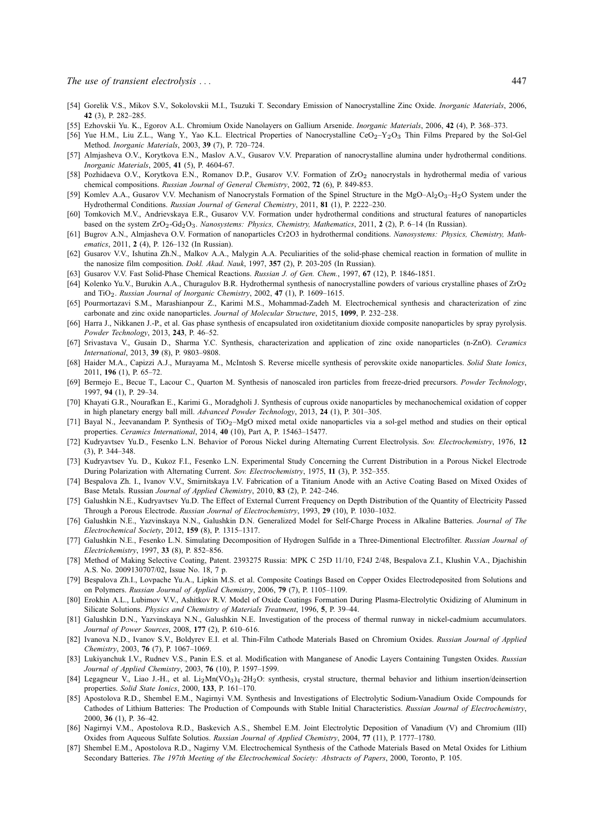- [54] Gorelik V.S., Mikov S.V., Sokolovskii M.I., Tsuzuki T. Secondary Emission of Nanocrystalline Zinc Oxide. *Inorganic Materials*, 2006, **42** (3), P. 282–285.
- [55] Ezhovskii Yu. K., Egorov A.L. Chromium Oxide Nanolayers on Gallium Arsenide. *Inorganic Materials*, 2006, **42** (4), P. 368–373.
- [56] Yue H.M., Liu Z.L., Wang Y., Yao K.L. Electrical Properties of Nanocrystalline CeO<sub>2</sub>-Y<sub>2</sub>O<sub>3</sub> Thin Films Prepared by the Sol-Gel Method. *Inorganic Materials*, 2003, **39** (7), P. 720–724.
- [57] Almjasheva O.V., Korytkova E.N., Maslov A.V., Gusarov V.V. Preparation of nanocrystalline alumina under hydrothermal conditions. *Inorganic Materials*, 2005, **41** (5), P. 4604-67.
- [58] Pozhidaeva O.V., Korytkova E.N., Romanov D.P., Gusarov V.V. Formation of ZrO<sup>2</sup> nanocrystals in hydrothermal media of various chemical compositions. *Russian Journal of General Chemistry*, 2002, **72** (6), P. 849-853.
- [59] Komlev A.A., Gusarov V.V. Mechanism of Nanocrystals Formation of the Spinel Structure in the MgO–Al<sub>2</sub>O<sub>3</sub>–H<sub>2</sub>O System under the Hydrothermal Conditions. *Russian Journal of General Chemistry*, 2011, **81** (1), P. 2222–230.
- [60] Tomkovich M.V., Andrievskaya E.R., Gusarov V.V. Formation under hydrothermal conditions and structural features of nanoparticles based on the system ZrO2-Gd2O3. *Nanosystems: Physics, Chemistry, Mathematics*, 2011, **2** (2), P. 6–14 (In Russian).
- [61] Bugrov A.N., Almjasheva O.V. Formation of nanoparticles Cr2O3 in hydrothermal conditions. *Nanosystems: Physics, Chemistry, Mathematics*, 2011, **2** (4), P. 126–132 (In Russian).
- [62] Gusarov V.V., Ishutina Zh.N., Malkov A.A., Malygin A.A. Peculiarities of the solid-phase chemical reaction in formation of mullite in the nanosize film composition. *Dokl. Akad. Nauk*, 1997, **357** (2), P. 203-205 (In Russian).
- [63] Gusarov V.V. Fast Solid-Phase Chemical Reactions. *Russian J. of Gen. Chem.*, 1997, **67** (12), P. 1846-1851.
- [64] Kolenko Yu.V., Burukin A.A., Churagulov B.R. Hydrothermal synthesis of nanocrystalline powders of various crystalline phases of ZrO<sup>2</sup> and TiO2. *Russian Journal of Inorganic Chemistry*, 2002, **47** (1), P. 1609–1615.
- [65] Pourmortazavi S.M., Marashianpour Z., Karimi M.S., Mohammad-Zadeh M. Electrochemical synthesis and characterization of zinc carbonate and zinc oxide nanoparticles. *Journal of Molecular Structure*, 2015, **1099**, P. 232–238.
- [66] Harra J., Nikkanen J.-P., et al. Gas phase synthesis of encapsulated iron oxidetitanium dioxide composite nanoparticles by spray pyrolysis. *Powder Technology*, 2013, **243**, P. 46–52.
- [67] Srivastava V., Gusain D., Sharma Y.C. Synthesis, characterization and application of zinc oxide nanoparticles (n-ZnO). *Ceramics International*, 2013, **39** (8), P. 9803–9808.
- [68] Haider M.A., Capizzi A.J., Murayama M., McIntosh S. Reverse micelle synthesis of perovskite oxide nanoparticles. *Solid State Ionics*, 2011, **196** (1), P. 65–72.
- [69] Bermejo E., Becue T., Lacour C., Quarton M. Synthesis of nanoscaled iron particles from freeze-dried precursors. *Powder Technology*, 1997, **94** (1), P. 29–34.
- [70] Khayati G.R., Nourafkan E., Karimi G., Moradgholi J. Synthesis of cuprous oxide nanoparticles by mechanochemical oxidation of copper in high planetary energy ball mill. *Advanced Powder Technology*, 2013, **24** (1), P. 301–305.
- [71] Bayal N., Jeevanandam P. Synthesis of TiO<sub>2</sub>–MgO mixed metal oxide nanoparticles via a sol-gel method and studies on their optical properties. *Ceramics International*, 2014, **40** (10), Part A, P. 15463–15477.
- [72] Kudryavtsev Yu.D., Fesenko L.N. Behavior of Porous Nickel during Alternating Current Electrolysis. *Sov. Electrochemistry*, 1976, **12** (3), P. 344–348.
- [73] Kudryavtsev Yu. D., Kukoz F.I., Fesenko L.N. Experimental Study Concerning the Current Distribution in a Porous Nickel Electrode During Polarization with Alternating Current. *Sov. Electrochemistry*, 1975, **11** (3), P. 352–355.
- [74] Bespalova Zh. I., Ivanov V.V., Smirnitskaya I.V. Fabrication of a Titanium Anode with an Active Coating Based on Mixed Oxides of Base Metals. Russian *Journal of Applied Chemistry*, 2010, **83** (2), P. 242–246.
- [75] Galushkin N.E., Kudryavtsev Yu.D. The Effect of External Current Frequency on Depth Distribution of the Quantity of Electricity Passed Through a Porous Electrode. *Russian Journal of Electrochemistry*, 1993, **29** (10), P. 1030–1032.
- [76] Galushkin N.E., Yazvinskaya N.N., Galushkin D.N. Generalized Model for Self-Charge Process in Alkaline Batteries. *Journal of The Electrochemical Society*, 2012, **159** (8), P. 1315–1317.
- [77] Galushkin N.E., Fesenko L.N. Simulating Decomposition of Hydrogen Sulfide in a Three-Dimentional Electrofilter. *Russian Journal of Electrichemistry*, 1997, **33** (8), P. 852–856.
- [78] Method of Making Selective Coating, Patent. 2393275 Russia: MPK C 25D 11/10, F24J 2/48, Bespalova Z.I., Klushin V.A., Djachishin A.S. No. 2009130707/02, Issue No. 18, 7 p.
- [79] Bespalova Zh.I., Lovpache Yu.A., Lipkin M.S. et al. Composite Coatings Based on Copper Oxides Electrodeposited from Solutions and on Polymers. *Russian Journal of Applied Chemistry*, 2006, **79** (7), P. 1105–1109.
- [80] Erokhin A.L., Lubimov V.V., Ashitkov R.V. Model of Oxide Coatings Formation During Plasma-Electrolytic Oxidizing of Aluminum in Silicate Solutions. *Physics and Chemistry of Materials Treatment*, 1996, **5**, P. 39–44.
- [81] Galushkin D.N., Yazvinskaya N.N., Galushkin N.E. Investigation of the process of thermal runway in nickel-cadmium accumulators. *Journal of Power Sources*, 2008, **177** (2), P. 610–616.
- [82] Ivanova N.D., Ivanov S.V., Boldyrev E.I. et al. Thin-Film Cathode Materials Based on Chromium Oxides. *Russian Journal of Applied Chemistry*, 2003, **76** (7), P. 1067–1069.
- [83] Lukiyanchuk I.V., Rudnev V.S., Panin E.S. et al. Modification with Manganese of Anodic Layers Containing Tungsten Oxides. *Russian Journal of Applied Chemistry*, 2003, **76** (10), P. 1597–1599.
- [84] Legagneur V., Liao J.-H., et al. Li2Mn(VO3)4·2H2O: synthesis, crystal structure, thermal behavior and lithium insertion/deinsertion properties. *Solid State Ionics*, 2000, **133**, P. 161–170.
- [85] Apostolova R.D., Shembel E.M., Nagirnyi V.M. Synthesis and Investigations of Electrolytic Sodium-Vanadium Oxide Compounds for Cathodes of Lithium Batteries: The Production of Compounds with Stable Initial Characteristics. *Russian Journal of Electrochemistry*, 2000, **36** (1), P. 36–42.
- [86] Nagirnyi V.M., Apostolova R.D., Baskevich A.S., Shembel E.M. Joint Electrolytic Deposition of Vanadium (V) and Chromium (III) Oxides from Aqueous Sulfate Solutios. *Russian Journal of Applied Chemistry*, 2004, **77** (11), P. 1777–1780.
- [87] Shembel E.M., Apostolova R.D., Nagirny V.M. Electrochemical Synthesis of the Cathode Materials Based on Metal Oxides for Lithium Secondary Batteries. *The 197th Meeting of the Electrochemical Society: Abstracts of Papers*, 2000, Toronto, P. 105.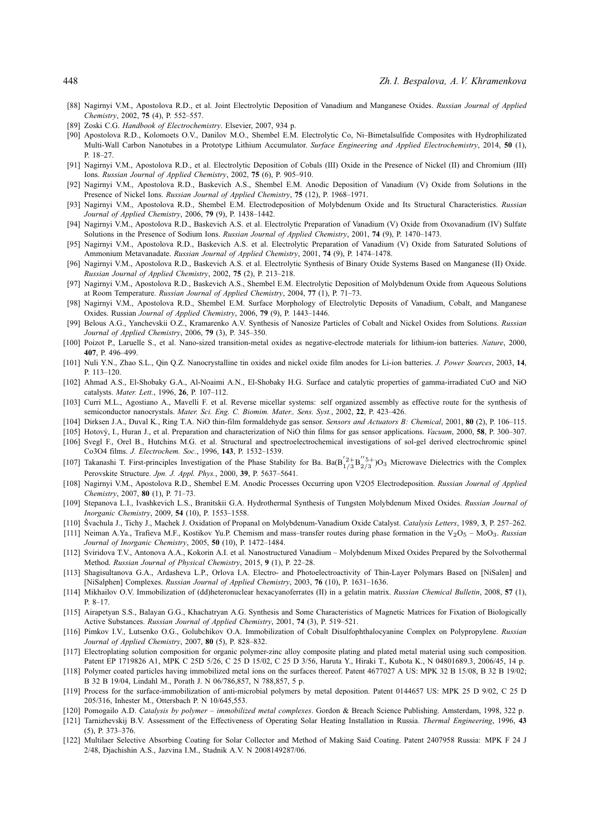- [88] Nagirnyi V.M., Apostolova R.D., et al. Joint Electrolytic Deposition of Vanadium and Manganese Oxides. *Russian Journal of Applied Chemistry*, 2002, **75** (4), P. 552–557.
- [89] Zoski C.G. *Handbook of Electrochemistry*. Elsevier, 2007, 934 p.
- [90] Apostolova R.D., Kolomoets O.V., Danilov M.O., Shembel E.M. Electrolytic Co, Ni–Bimetalsulfide Composites with Hydrophilizated Multi-Wall Carbon Nanotubes in a Prototype Lithium Accumulator. *Surface Engineering and Applied Electrochemistry*, 2014, **50** (1), P. 18–27.
- [91] Nagirnyi V.M., Apostolova R.D., et al. Electrolytic Deposition of Cobals (III) Oxide in the Presence of Nickel (II) and Chromium (III) Ions. *Russian Journal of Applied Chemistry*, 2002, **75** (6), P. 905–910.
- [92] Nagirnyi V.M., Apostolova R.D., Baskevich A.S., Shembel E.M. Anodic Deposition of Vanadium (V) Oxide from Solutions in the Presence of Nickel Ions. *Russian Journal of Applied Chemistry*, **75** (12), P. 1968–1971.
- [93] Nagirnyi V.M., Apostolova R.D., Shembel E.M. Electrodeposition of Molybdenum Oxide and Its Structural Characteristics. *Russian Journal of Applied Chemistry*, 2006, **79** (9), P. 1438–1442.
- [94] Nagirnyi V.M., Apostolova R.D., Baskevich A.S. et al. Electrolytic Preparation of Vanadium (V) Oxide from Oxovanadium (IV) Sulfate Solutions in the Presence of Sodium Ions. *Russian Journal of Applied Chemistry*, 2001, **74** (9), P. 1470–1473.
- [95] Nagirnyi V.M., Apostolova R.D., Baskevich A.S. et al. Electrolytic Preparation of Vanadium (V) Oxide from Saturated Solutions of Ammonium Metavanadate. *Russian Journal of Applied Chemistry*, 2001, **74** (9), P. 1474–1478.
- [96] Nagirnyi V.M., Apostolova R.D., Baskevich A.S. et al. Electrolytic Synthesis of Binary Oxide Systems Based on Manganese (II) Oxide. *Russian Journal of Applied Chemistry*, 2002, **75** (2), P. 213–218.
- [97] Nagirnyi V.M., Apostolova R.D., Baskevich A.S., Shembel E.M. Electrolytic Deposition of Molybdenum Oxide from Aqueous Solutions at Room Temperature. *Russian Journal of Applied Chemistry*, 2004, **77** (1), P. 71–73.
- [98] Nagirnyi V.M., Apostolova R.D., Shembel E.M. Surface Morphology of Electrolytic Deposits of Vanadium, Cobalt, and Manganese Oxides. Russian *Journal of Applied Chemistry*, 2006, **79** (9), P. 1443–1446.
- [99] Belous A.G., Yanchevskii O.Z., Kramarenko A.V. Synthesis of Nanosize Particles of Cobalt and Nickel Oxides from Solutions. *Russian Journal of Applied Chemistry*, 2006, **79** (3), P. 345–350.
- [100] Poizot P., Laruelle S., et al. Nano-sized transition-metal oxides as negative-electrode materials for lithium-ion batteries. *Nature*, 2000, **407**, P. 496–499.
- [101] Nuli Y.N., Zhao S.L., Qin Q.Z. Nanocrystalline tin oxides and nickel oxide film anodes for Li-ion batteries. *J. Power Sources*, 2003, **14**, P. 113–120.
- [102] Ahmad A.S., El-Shobaky G.A., Al-Noaimi A.N., El-Shobaky H.G. Surface and catalytic properties of gamma-irradiated CuO and NiO catalysts. *Mater. Lett.*, 1996, **26**, P. 107–112.
- [103] Curri M.L., Agostiano A., Mavelli F. et al. Reverse micellar systems: self organized assembly as effective route for the synthesis of semiconductor nanocrystals. *Mater. Sci. Eng. C. Biomim. Mater., Sens. Syst.*, 2002, **22**, P. 423–426.
- [104] Dirksen J.A., Duval K., Ring T.A. NiO thin-film formaldehyde gas sensor. *Sensors and Actuators B: Chemical*, 2001, **80** (2), P. 106–115.
- [105] Hotov´y, I., Huran J., et al. Preparation and characterization of NiO thin films for gas sensor applications. *Vacuum*, 2000, **58**, P. 300–307.
- [106] Svegl F., Orel B., Hutchins M.G. et al. Structural and spectroelectrochemical investigations of sol-gel derived electrochromic spinel Co3O4 films. *J. Electrochem. Soc.*, 1996, **143**, P. 1532–1539.
- [107] Takanashi T. First-principles Investigation of the Phase Stability for Ba. Ba( $B^{'}_{1/3}B^{''5+}_{2/3}$ )O<sub>3</sub> Microwave Dielectrics with the Complex Perovskite Structure. *Jpn. J. Appl. Phys.*, 2000, **39**, P. 5637–5641.
- [108] Nagirnyi V.M., Apostolova R.D., Shembel E.M. Anodic Processes Occurring upon V2O5 Electrodeposition. *Russian Journal of Applied Chemistry*, 2007, **80** (1), P. 71–73.
- [109] Stepanova L.I., Ivashkevich L.S., Branitskii G.A. Hydrothermal Synthesis of Tungsten Molybdenum Mixed Oxides. *Russian Journal of Inorganic Chemistry*, 2009, **54** (10), P. 1553–1558.
- [110] Svachula J., Tichy J., Machek J. Oxidation of Propanal on Molybdenum-Vanadium Oxide Catalyst. ˇ *Catalysis Letters*, 1989, **3**, P. 257–262.
- [111] Neiman A.Ya., Trafieva M.F., Kostikov Yu.P. Chemism and mass–transfer routes during phase formation in the V2O<sup>5</sup> MoO3. *Russian Journal of Inorganic Chemistry*, 2005, **50** (10), P. 1472–1484.
- [112] Sviridova T.V., Antonova A.A., Kokorin A.I. et al. Nanostructured Vanadium Molybdenum Mixed Oxides Prepared by the Solvothermal Method. *Russian Journal of Physical Chemistry*, 2015, **9** (1), P. 22–28.
- [113] Shagisultanova G.A., Ardasheva L.P., Orlova I.A. Electro- and Photoelectroactivity of Thin-Layer Polymars Based on [NiSalen] and [NiSalphen] Complexes. *Russian Journal of Applied Chemistry*, 2003, **76** (10), P. 1631–1636.
- [114] Mikhailov O.V. Immobilization of (dd)heteronuclear hexacyanoferrates (II) in a gelatin matrix. *Russian Chemical Bulletin*, 2008, **57** (1), P. 8–17.
- [115] Airapetyan S.S., Balayan G.G., Khachatryan A.G. Synthesis and Some Characteristics of Magnetic Matrices for Fixation of Biologically Active Substances. *Russian Journal of Applied Chemistry*, 2001, **74** (3), P. 519–521.
- [116] Pimkov I.V., Lutsenko O.G., Golubchikov O.A. Immobilization of Cobalt Disulfophthalocyanine Complex on Polypropylene. *Russian Journal of Applied Chemistry*, 2007, **80** (5), P. 828–832.
- [117] Electroplating solution composition for organic polymer-zinc alloy composite plating and plated metal material using such composition. Patent EP 1719826 A1, MPK C 25D 5/26, C 25 D 15/02, C 25 D 3/56, Haruta Y., Hiraki T., Kubota K., N 04801689.3, 2006/45, 14 p.
- [118] Polymer coated particles having immobilized metal ions on the surfaces thereof. Patent 4677027 A US: MPK 32 B 15/08, B 32 B 19/02; B 32 B 19/04, Lindahl M., Porath J. N 06/786,857, N 788,857, 5 p.
- [119] Process for the surface-immobilization of anti-microbial polymers by metal deposition. Patent 0144657 US: MPK 25 D 9/02, C 25 D 205/316, Inhester M., Ottersbach P. N 10/645,553.
- [120] Pomogailo A.D. *Catalysis by polymer immobilized metal complexes*. Gordon & Breach Science Publishing. Amsterdam, 1998, 322 p.
- [121] Tarnizhevskij B.V. Assessment of the Effectiveness of Operating Solar Heating Installation in Russia. *Thermal Engineering*, 1996, **43** (5), P. 373–376.
- [122] Multilaer Selective Absorbing Coating for Solar Collector and Method of Making Said Coating. Patent 2407958 Russia: MPK F 24 J 2/48, Djachishin A.S., Jazvina I.M., Stadnik A.V. N 2008149287/06.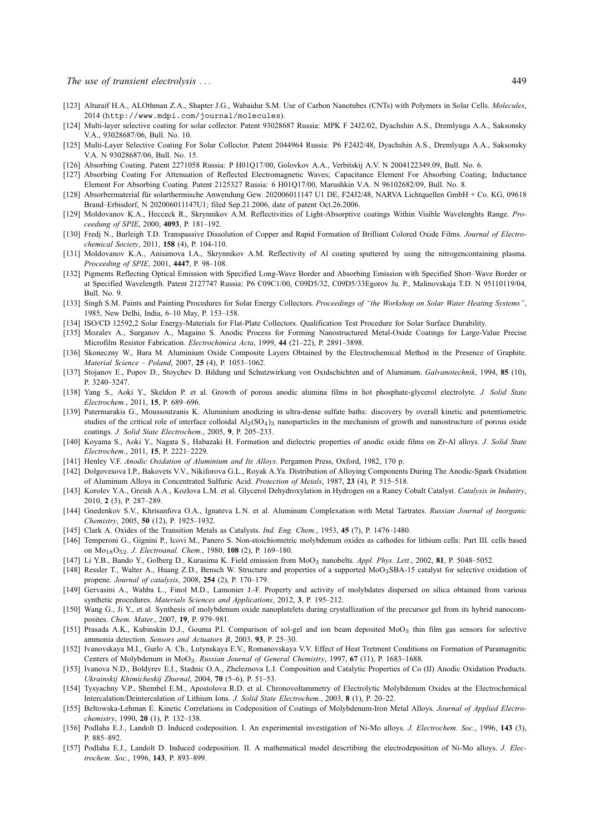- [123] Alturaif H.A., ALOthman Z.A., Shapter J.G., Wabaidur S.M. Use of Carbon Nanotubes (CNTs) with Polymers in Solar Cells. *Molecules*, 2014 (http://www.mdpi.com/journal/molecules).
- [124] Multi-layer selective coating for solar collector. Patent 93028687 Russia: MPK F 24J2/02, Dyachshin A.S., Dremlyuga A.A., Saksonsky V.A., 93028687/06, Bull. No. 10.
- [125] Multi-Layer Selective Coating For Solar Collector. Patent 2044964 Russia: P6 F24J2/48, Dyachshin A.S., Dremlyuga A.A., Saksonsky V.A. N 93028687/06, Bull. No. 15.
- [126] Absorbing Coating. Patent 2271058 Russia: P H01Q17/00, Golovkov A.A., Verbitskij A.V. N 2004122349.09, Bull. No. 6.
- [127] Absorbing Coating For Attenuation of Reflected Electromagnetic Waves; Capacitance Element For Absorbing Coating; Inductance Element For Absorbing Coating. Patent 2125327 Russia: 6 H01Q17/00, Marushkin V.A. N 96102682/09, Bull. No. 8.
- [128] Absorbermaterial für solarthermische Anwendung Gew. 202006011147 U1 DE, F24J2/48, NARVA Lichtquellen GmbH + Co. KG, 09618 Brand–Erbisdorf, N 202006011147U1; filed Sep.21.2006, date of patent Oct.26.2006.
- [129] Moldovanov K.A., Hecceck R., Skrynnikov A.M. Reflectivities of Light-Absorptive coatings Within Visible Wavelenghts Range. *Proceedung of SPIE*, 2000, **4093**, P. 181–192.
- [130] Fredj N., Burleigh T.D. Transpassive Dissolution of Copper and Rapid Formation of Brilliant Colored Oxide Films. *Journal of Electrochemical Society*, 2011, **158** (4), P. 104-110.
- [131] Moldovanov K.A., Anisimova I.A., Skrynnikov A.M. Reflectivity of Al coating sputtered by using the nitrogencontaining plasma. *Proceeding of SPIE*, 2001, **4447**, P. 98–108.
- [132] Pigments Reflecting Optical Emission with Specified Long-Wave Border and Absorbing Emission with Specified Short–Wave Border or at Specified Wavelength. Patent 2127747 Russia: P6 C09C1/00, C09D5/32, C09D5/33Egorov Ju. P., Malinovskaja T.D. N 95110119/04, Bull. No. 9.
- [133] Singh S.M. Paints and Painting Procedures for Solar Energy Collectors. *Proceedings of "the Workshop on Solar Water Heating Systems"*, 1985, New Delhi, India, 6–10 May, P. 153–158.
- [134] ISO/CD 12592,2 Solar Energy-Materials for Flat-Plate Collectors. Qualification Test Procedure for Solar Surface Durability.
- [135] Mozalev A., Surganov A., Magaino S. Anodic Process for Forming Nanostructured Metal-Oxide Coatings for Large-Value Precise Microfilm Resistor Fabrication. *Electrochimica Acta*, 1999, **44** (21–22), P. 2891–3898.
- [136] Skoneczny W., Bara M. Aluminium Oxide Composite Layers Obtained by the Electrochemical Method in the Presence of Graphite. *Material Science – Poland*, 2007, **25** (4), P. 1053–1062.
- [137] Stojanov E., Popov D., Stoychev D. Bildung und Schutzwirkung von Oxidschichten and of Aluminum. *Galvanotechnik*, 1994, **85** (10), P. 3240–3247.
- [138] Yang S., Aoki Y., Skeldon P. et al. Growth of porous anodic alumina films in hot phosphate-glycerol electrolyte. *J. Solid State Electrochem.*, 2011, **15**, P. 689–696.
- [139] Patermarakis G., Moussoutzanis K. Aluminium anodizing in ultra-dense sulfate baths: discovery by overall kinetic and potentiometric studies of the critical role of interface colloidal  $Al<sub>2</sub>(SO<sub>4</sub>)<sub>3</sub>$  nanoparticles in the mechanism of growth and nanostructure of porous oxide coatings. *J. Solid State Electrochem.*, 2005, **9**, P. 205–233.
- [140] Koyama S., Aoki Y., Nagata S., Habazaki H. Formation and dielectric properties of anodic oxide films on Zr-Al alloys. *J. Solid State Electrochem.*, 2011, **15**, P. 2221–2229.
- [141] Henley V.F. *Anodic Oxidation of Aluminium and Its Alloys*. Pergamon Press, Oxford, 1982, 170 p.
- [142] Dolgovesova I.P., Bakovets V.V., Nikiforova G.L., Royak A.Ya. Distribution of Alloying Components During The Anodic-Spark Oxidation of Aluminum Alloys in Concentrated Sulfuric Acid. *Protection of Metals*, 1987, **23** (4), P. 515–518.
- [143] Korolev Y.A., Greish A.A., Kozlova L.M. et al. Glycerol Dehydroxylation in Hydrogen on a Raney Cobalt Catalyst. *Catalysis in Industry*, 2010, **2** (3), P. 287–289.
- [144] Gnedenkov S.V., Khrisanfova O.A., Ignateva L.N. et al. Aluminum Complexation with Metal Tartrates. *Russian Journal of Inorganic Chemistry*, 2005, **50** (12), P. 1925–1932.
- [145] Clark A. Oxides of the Transition Metals as Catalysts. *Ind. Eng. Chem.*, 1953, **45** (7), P. 1476–1480.
- [146] Temperoni G., Gignini P., Icovi M., Panero S. Non-stoichiometric molybdenum oxides as cathodes for lithium cells: Part III. cells based on Mo18O52. *J. Electroanal. Chem.*, 1980, **108** (2), P. 169–180.
- [147] Li Y.B., Bando Y., Golberg D., Kurasima K. Field emission from MoO<sup>3</sup> nanobelts. *Appl. Phys. Lett.*, 2002, **81**, P. 5048–5052.
- [148] Ressler T., Walter A., Huang Z.D., Bensch W. Structure and properties of a supported MoO3SBA-15 catalyst for selective oxidation of propene. *Journal of catalysis*, 2008, **254** (2), P. 170–179.
- [149] Gervasini A., Wahba L., Finol M.D., Lamonier J.-F. Property and activity of molybdates dispersed on silica obtained from various synthetic procedures. *Materials Sciences and Applications*, 2012, **3**, P. 195–212.
- [150] Wang G., Ji Y., et al. Synthesis of molybdenum oxide nanoplatelets during crystallization of the precursor gel from its hybrid nanocomposites. *Chem. Mater.*, 2007, **19**, P. 979–981.
- [151] Prasada A.K., Kubinskin D.J., Gouma P.I. Comparison of sol-gel and ion beam deposited MoO<sub>3</sub> thin film gas sensors for selective ammonia detection. *Sensors and Actuators B*, 2003, **93**, P. 25–30.
- [152] Ivanovskaya M.I., Gurlo A. Ch., Lutynskaya E.V., Romanovskaya V.V. Effect of Heat Tretment Conditions on Formation of Paramagnitic Centers of Molybdenum in MoO3. *Russian Journal of General Chemistry*, 1997, **67** (11), P. 1683–1688.
- [153] Ivanova N.D., Boldyrev E.I., Stadnic O.A., Zheleznova L.I. Composition and Catalytic Properties of Co (II) Anodic Oxidation Products. *Ukrainskij Khimicheskij Zhurnal*, 2004, **70** (5–6), P. 51–53.
- [154] Tysyachny V.P., Shembel E.M., Apostolova R.D. et al. Chronovoltammetry of Electrolytic Molybdenum Oxides at the Electrochemical Intercalation/Deintercalation of Lithium Ions. *J. Solid State Electrochem.*, 2003, **8** (1), P. 20–22.
- [155] Beltowska-Lehman E. Kinetic Correlations in Codeposition of Coatings of Molybdenum-Iron Metal Alloys. *Journal of Applied Electrochemistry*, 1990, **20** (1), P. 132–138.
- [156] Podlaha E.J., Landolt D. Induced codeposition. I. An experimental investigation of Ni-Mo alloys. *J. Electrochem. Soc.*, 1996, **143** (3), P. 885–892.
- [157] Podlaha E.J., Landolt D. Induced codeposition. II. A mathematical model descrtibing the electrodeposition of Ni-Mo alloys. *J. Electrochem. Soc.*, 1996, **143**, P. 893–899.